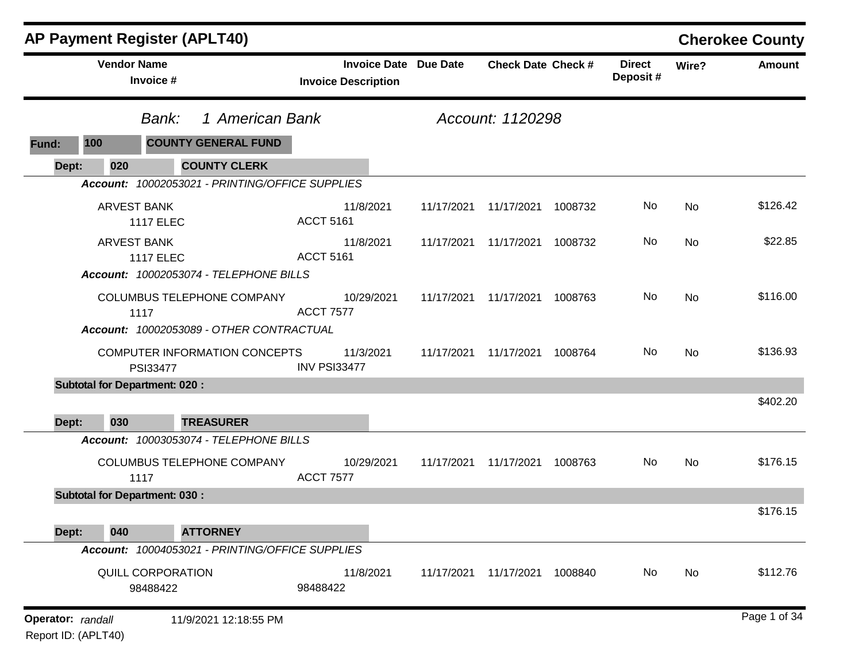|                   | <b>AP Payment Register (APLT40)</b>                                            |                                                            |            |                           |         |                           |           | <b>Cherokee County</b> |
|-------------------|--------------------------------------------------------------------------------|------------------------------------------------------------|------------|---------------------------|---------|---------------------------|-----------|------------------------|
|                   | <b>Vendor Name</b><br>Invoice #                                                | <b>Invoice Date Due Date</b><br><b>Invoice Description</b> |            | <b>Check Date Check #</b> |         | <b>Direct</b><br>Deposit# | Wire?     | <b>Amount</b>          |
|                   | 1 American Bank<br>Bank:                                                       |                                                            |            | Account: 1120298          |         |                           |           |                        |
| Fund:             | 100<br><b>COUNTY GENERAL FUND</b>                                              |                                                            |            |                           |         |                           |           |                        |
| Dept:             | 020<br><b>COUNTY CLERK</b>                                                     |                                                            |            |                           |         |                           |           |                        |
|                   | Account: 10002053021 - PRINTING/OFFICE SUPPLIES                                |                                                            |            |                           |         |                           |           |                        |
|                   | <b>ARVEST BANK</b><br><b>1117 ELEC</b>                                         | 11/8/2021<br><b>ACCT 5161</b>                              | 11/17/2021 | 11/17/2021                | 1008732 | No                        | No        | \$126.42               |
|                   | <b>ARVEST BANK</b><br><b>1117 ELEC</b>                                         | 11/8/2021<br><b>ACCT 5161</b>                              | 11/17/2021 | 11/17/2021 1008732        |         | No                        | No        | \$22.85                |
|                   | Account: 10002053074 - TELEPHONE BILLS                                         |                                                            |            |                           |         |                           |           |                        |
|                   | COLUMBUS TELEPHONE COMPANY<br>1117<br>Account: 10002053089 - OTHER CONTRACTUAL | 10/29/2021<br><b>ACCT 7577</b>                             | 11/17/2021 | 11/17/2021                | 1008763 | No                        | <b>No</b> | \$116.00               |
|                   | COMPUTER INFORMATION CONCEPTS<br>PSI33477                                      | 11/3/2021<br>INV PSI33477                                  | 11/17/2021 | 11/17/2021 1008764        |         | No.                       | No        | \$136.93               |
|                   | <b>Subtotal for Department: 020:</b>                                           |                                                            |            |                           |         |                           |           |                        |
| Dept:             | 030<br><b>TREASURER</b>                                                        |                                                            |            |                           |         |                           |           | \$402.20               |
|                   | Account: 10003053074 - TELEPHONE BILLS                                         |                                                            |            |                           |         |                           |           |                        |
|                   | COLUMBUS TELEPHONE COMPANY<br>1117                                             | 10/29/2021<br><b>ACCT 7577</b>                             | 11/17/2021 | 11/17/2021                | 1008763 | No                        | No        | \$176.15               |
|                   | <b>Subtotal for Department: 030:</b>                                           |                                                            |            |                           |         |                           |           |                        |
|                   |                                                                                |                                                            |            |                           |         |                           |           | \$176.15               |
| Dept:             | <b>ATTORNEY</b><br>040<br>Account: 10004053021 - PRINTING/OFFICE SUPPLIES      |                                                            |            |                           |         |                           |           |                        |
|                   |                                                                                |                                                            |            |                           |         |                           |           | \$112.76               |
|                   | QUILL CORPORATION<br>98488422                                                  | 11/8/2021<br>98488422                                      | 11/17/2021 | 11/17/2021 1008840        |         | No                        | No        |                        |
| Operator: randall | 11/9/2021 12:18:55 PM                                                          |                                                            |            |                           |         |                           |           | Page 1 of 34           |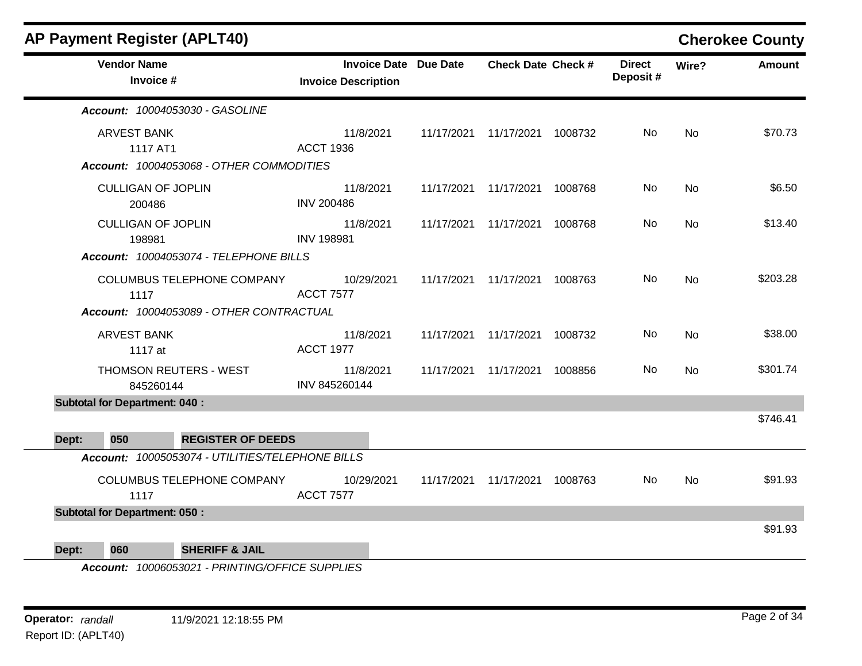|       | <b>AP Payment Register (APLT40)</b>                                                 |                            |            |                              |                               |         |                           |           | <b>Cherokee County</b> |
|-------|-------------------------------------------------------------------------------------|----------------------------|------------|------------------------------|-------------------------------|---------|---------------------------|-----------|------------------------|
|       | <b>Vendor Name</b><br>Invoice #                                                     | <b>Invoice Description</b> |            | <b>Invoice Date Due Date</b> | <b>Check Date Check #</b>     |         | <b>Direct</b><br>Deposit# | Wire?     | Amount                 |
|       | Account: 10004053030 - GASOLINE                                                     |                            |            |                              |                               |         |                           |           |                        |
|       | <b>ARVEST BANK</b><br>1117 AT1<br>Account: 10004053068 - OTHER COMMODITIES          | <b>ACCT 1936</b>           | 11/8/2021  | 11/17/2021                   | 11/17/2021 1008732            |         | No.                       | <b>No</b> | \$70.73                |
|       | <b>CULLIGAN OF JOPLIN</b><br>200486                                                 | <b>INV 200486</b>          | 11/8/2021  |                              | 11/17/2021 11/17/2021         | 1008768 | No.                       | <b>No</b> | \$6.50                 |
|       | <b>CULLIGAN OF JOPLIN</b><br>198981                                                 | <b>INV 198981</b>          | 11/8/2021  |                              | 11/17/2021 11/17/2021 1008768 |         | No                        | No        | \$13.40                |
|       | Account: 10004053074 - TELEPHONE BILLS                                              |                            |            |                              |                               |         |                           |           |                        |
|       | COLUMBUS TELEPHONE COMPANY<br>1117                                                  | <b>ACCT 7577</b>           | 10/29/2021 | 11/17/2021                   | 11/17/2021                    | 1008763 | No.                       | <b>No</b> | \$203.28               |
|       | Account: 10004053089 - OTHER CONTRACTUAL                                            |                            |            |                              |                               |         |                           |           |                        |
|       | <b>ARVEST BANK</b><br>1117 at                                                       | <b>ACCT 1977</b>           | 11/8/2021  | 11/17/2021                   | 11/17/2021                    | 1008732 | No                        | <b>No</b> | \$38.00                |
|       | THOMSON REUTERS - WEST<br>845260144                                                 | INV 845260144              | 11/8/2021  | 11/17/2021                   | 11/17/2021                    | 1008856 | No.                       | No        | \$301.74               |
|       | <b>Subtotal for Department: 040:</b>                                                |                            |            |                              |                               |         |                           |           |                        |
|       |                                                                                     |                            |            |                              |                               |         |                           |           | \$746.41               |
| Dept: | 050<br><b>REGISTER OF DEEDS</b><br>Account: 10005053074 - UTILITIES/TELEPHONE BILLS |                            |            |                              |                               |         |                           |           |                        |
|       |                                                                                     |                            |            |                              |                               |         |                           |           |                        |
|       | COLUMBUS TELEPHONE COMPANY<br>1117                                                  | <b>ACCT 7577</b>           | 10/29/2021 | 11/17/2021                   | 11/17/2021 1008763            |         | No.                       | <b>No</b> | \$91.93                |
|       | <b>Subtotal for Department: 050:</b>                                                |                            |            |                              |                               |         |                           |           |                        |
|       |                                                                                     |                            |            |                              |                               |         |                           |           | \$91.93                |
| Dept: | <b>SHERIFF &amp; JAIL</b><br>060                                                    |                            |            |                              |                               |         |                           |           |                        |

*Account: 10006053021 - PRINTING/OFFICE SUPPLIES*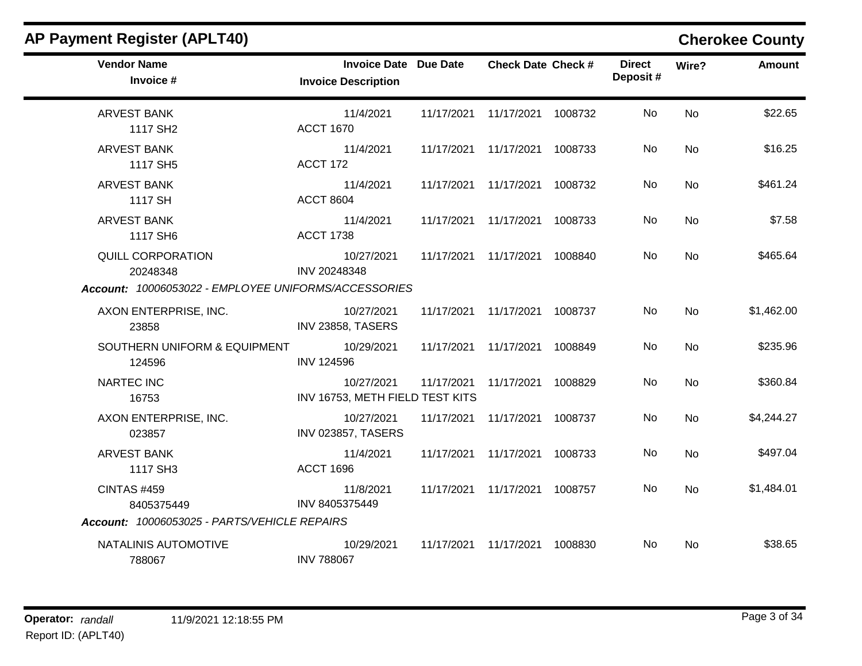| <b>AP Payment Register (APLT40)</b>                                                   |                                                            |            |                                 |         |                           |           | <b>Cherokee County</b> |
|---------------------------------------------------------------------------------------|------------------------------------------------------------|------------|---------------------------------|---------|---------------------------|-----------|------------------------|
| <b>Vendor Name</b><br>Invoice #                                                       | <b>Invoice Date Due Date</b><br><b>Invoice Description</b> |            | <b>Check Date Check #</b>       |         | <b>Direct</b><br>Deposit# | Wire?     | <b>Amount</b>          |
| ARVEST BANK<br>1117 SH <sub>2</sub>                                                   | 11/4/2021<br><b>ACCT 1670</b>                              |            | 11/17/2021 11/17/2021 1008732   |         | No                        | <b>No</b> | \$22.65                |
| <b>ARVEST BANK</b><br>1117 SH5                                                        | 11/4/2021<br>ACCT 172                                      |            | 11/17/2021 11/17/2021           | 1008733 | No                        | No        | \$16.25                |
| <b>ARVEST BANK</b><br>1117 SH                                                         | 11/4/2021<br><b>ACCT 8604</b>                              |            | 11/17/2021 11/17/2021           | 1008732 | No                        | No        | \$461.24               |
| <b>ARVEST BANK</b><br>1117 SH6                                                        | 11/4/2021<br><b>ACCT 1738</b>                              |            | 11/17/2021 11/17/2021           | 1008733 | No                        | <b>No</b> | \$7.58                 |
| QUILL CORPORATION<br>20248348<br>Account: 10006053022 - EMPLOYEE UNIFORMS/ACCESSORIES | 10/27/2021<br>INV 20248348                                 |            | 11/17/2021 11/17/2021           | 1008840 | No.                       | No        | \$465.64               |
| AXON ENTERPRISE, INC.<br>23858                                                        | 10/27/2021<br>INV 23858, TASERS                            |            | 11/17/2021  11/17/2021  1008737 |         | No.                       | No        | \$1,462.00             |
| SOUTHERN UNIFORM & EQUIPMENT<br>124596                                                | 10/29/2021<br><b>INV 124596</b>                            |            | 11/17/2021 11/17/2021           | 1008849 | No                        | <b>No</b> | \$235.96               |
| <b>NARTEC INC</b><br>16753                                                            | 10/27/2021<br>INV 16753, METH FIELD TEST KITS              | 11/17/2021 | 11/17/2021                      | 1008829 | No                        | <b>No</b> | \$360.84               |
| AXON ENTERPRISE, INC.<br>023857                                                       | 10/27/2021<br><b>INV 023857, TASERS</b>                    | 11/17/2021 | 11/17/2021                      | 1008737 | No                        | No        | \$4,244.27             |
| <b>ARVEST BANK</b><br>1117 SH3                                                        | 11/4/2021<br><b>ACCT 1696</b>                              |            | 11/17/2021 11/17/2021           | 1008733 | No.                       | <b>No</b> | \$497.04               |
| <b>CINTAS #459</b><br>8405375449                                                      | 11/8/2021<br>INV 8405375449                                |            | 11/17/2021 11/17/2021           | 1008757 | No                        | <b>No</b> | \$1,484.01             |
| Account: 10006053025 - PARTS/VEHICLE REPAIRS                                          |                                                            |            |                                 |         |                           |           |                        |
| NATALINIS AUTOMOTIVE<br>788067                                                        | 10/29/2021<br><b>INV 788067</b>                            | 11/17/2021 | 11/17/2021                      | 1008830 | No.                       | No        | \$38.65                |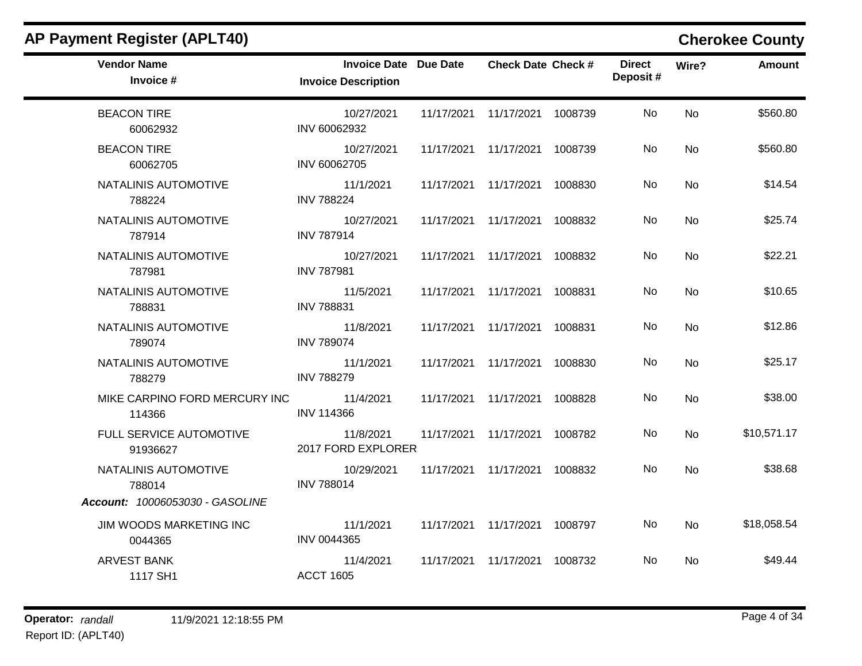| <b>Vendor Name</b><br>Invoice #         | Invoice Date Due Date<br><b>Invoice Description</b> | <b>Check Date Check #</b>       |         | <b>Direct</b><br>Deposit# | Wire?     | <b>Amount</b> |
|-----------------------------------------|-----------------------------------------------------|---------------------------------|---------|---------------------------|-----------|---------------|
| <b>BEACON TIRE</b><br>60062932          | 10/27/2021<br>INV 60062932                          | 11/17/2021  11/17/2021  1008739 |         | No.                       | <b>No</b> | \$560.80      |
| <b>BEACON TIRE</b><br>60062705          | 10/27/2021<br>INV 60062705                          | 11/17/2021  11/17/2021  1008739 |         | No                        | No        | \$560.80      |
| NATALINIS AUTOMOTIVE<br>788224          | 11/1/2021<br><b>INV 788224</b>                      | 11/17/2021 11/17/2021           | 1008830 | No                        | <b>No</b> | \$14.54       |
| NATALINIS AUTOMOTIVE<br>787914          | 10/27/2021<br><b>INV 787914</b>                     | 11/17/2021 11/17/2021           | 1008832 | No.                       | <b>No</b> | \$25.74       |
| NATALINIS AUTOMOTIVE<br>787981          | 10/27/2021<br><b>INV 787981</b>                     | 11/17/2021  11/17/2021          | 1008832 | No.                       | <b>No</b> | \$22.21       |
| NATALINIS AUTOMOTIVE<br>788831          | 11/5/2021<br><b>INV 788831</b>                      | 11/17/2021 11/17/2021 1008831   |         | No                        | <b>No</b> | \$10.65       |
| NATALINIS AUTOMOTIVE<br>789074          | 11/8/2021<br><b>INV 789074</b>                      | 11/17/2021  11/17/2021  1008831 |         | <b>No</b>                 | No        | \$12.86       |
| NATALINIS AUTOMOTIVE<br>788279          | 11/1/2021<br><b>INV 788279</b>                      | 11/17/2021  11/17/2021  1008830 |         | No.                       | No        | \$25.17       |
| MIKE CARPINO FORD MERCURY INC<br>114366 | 11/4/2021<br><b>INV 114366</b>                      | 11/17/2021  11/17/2021  1008828 |         | No                        | No        | \$38.00       |
| FULL SERVICE AUTOMOTIVE<br>91936627     | 11/8/2021<br>2017 FORD EXPLORER                     | 11/17/2021  11/17/2021  1008782 |         | No.                       | <b>No</b> | \$10,571.17   |
| NATALINIS AUTOMOTIVE<br>788014          | 10/29/2021<br><b>INV 788014</b>                     | 11/17/2021  11/17/2021  1008832 |         | No                        | No        | \$38.68       |
| Account: 10006053030 - GASOLINE         |                                                     |                                 |         |                           |           |               |
| JIM WOODS MARKETING INC<br>0044365      | 11/1/2021<br><b>INV 0044365</b>                     | 11/17/2021  11/17/2021  1008797 |         | No                        | No        | \$18,058.54   |
| <b>ARVEST BANK</b><br>1117 SH1          | 11/4/2021<br><b>ACCT 1605</b>                       | 11/17/2021 11/17/2021           | 1008732 | No.                       | <b>No</b> | \$49.44       |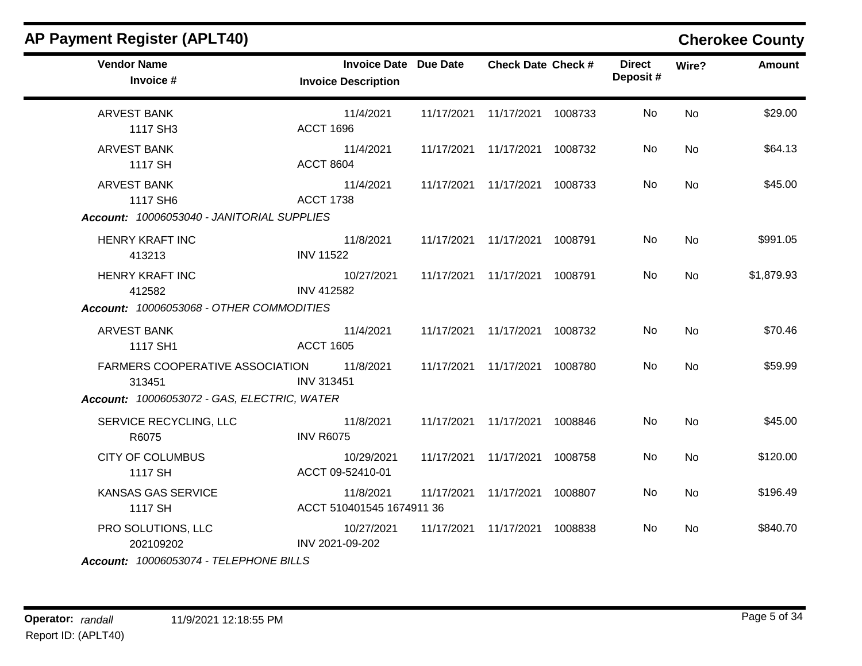| <b>AP Payment Register (APLT40)</b>              |                                                            |            |                                 |         |                           |           | <b>Cherokee County</b> |
|--------------------------------------------------|------------------------------------------------------------|------------|---------------------------------|---------|---------------------------|-----------|------------------------|
| <b>Vendor Name</b><br>Invoice #                  | <b>Invoice Date Due Date</b><br><b>Invoice Description</b> |            | <b>Check Date Check #</b>       |         | <b>Direct</b><br>Deposit# | Wire?     | <b>Amount</b>          |
| <b>ARVEST BANK</b><br>1117 SH3                   | 11/4/2021<br><b>ACCT 1696</b>                              | 11/17/2021 | 11/17/2021 1008733              |         | No                        | <b>No</b> | \$29.00                |
| <b>ARVEST BANK</b><br>1117 SH                    | 11/4/2021<br><b>ACCT 8604</b>                              | 11/17/2021 | 11/17/2021 1008732              |         | No                        | No        | \$64.13                |
| <b>ARVEST BANK</b><br>1117 SH6                   | 11/4/2021<br><b>ACCT 1738</b>                              |            | 11/17/2021  11/17/2021  1008733 |         | No                        | No        | \$45.00                |
| Account: 10006053040 - JANITORIAL SUPPLIES       |                                                            |            |                                 |         |                           |           |                        |
| <b>HENRY KRAFT INC</b><br>413213                 | 11/8/2021<br><b>INV 11522</b>                              |            | 11/17/2021  11/17/2021  1008791 |         | No                        | No        | \$991.05               |
| <b>HENRY KRAFT INC</b><br>412582                 | 10/27/2021<br><b>INV 412582</b>                            |            | 11/17/2021  11/17/2021  1008791 |         | No                        | <b>No</b> | \$1,879.93             |
| Account: 10006053068 - OTHER COMMODITIES         |                                                            |            |                                 |         |                           |           |                        |
| <b>ARVEST BANK</b><br>1117 SH1                   | 11/4/2021<br><b>ACCT 1605</b>                              | 11/17/2021 | 11/17/2021 1008732              |         | No                        | <b>No</b> | \$70.46                |
| <b>FARMERS COOPERATIVE ASSOCIATION</b><br>313451 | 11/8/2021<br><b>INV 313451</b>                             | 11/17/2021 | 11/17/2021 1008780              |         | No                        | <b>No</b> | \$59.99                |
| Account: 10006053072 - GAS, ELECTRIC, WATER      |                                                            |            |                                 |         |                           |           |                        |
| SERVICE RECYCLING, LLC<br>R6075                  | 11/8/2021<br><b>INV R6075</b>                              | 11/17/2021 | 11/17/2021                      | 1008846 | No                        | No        | \$45.00                |
| <b>CITY OF COLUMBUS</b><br>1117 SH               | 10/29/2021<br>ACCT 09-52410-01                             |            | 11/17/2021  11/17/2021          | 1008758 | No                        | No        | \$120.00               |
| KANSAS GAS SERVICE<br>1117 SH                    | 11/8/2021<br>ACCT 510401545 1674911 36                     | 11/17/2021 | 11/17/2021                      | 1008807 | No                        | No        | \$196.49               |
| PRO SOLUTIONS, LLC<br>202109202                  | 10/27/2021<br>INV 2021-09-202                              | 11/17/2021 | 11/17/2021 1008838              |         | No.                       | No        | \$840.70               |
| Account: 10006053074 - TELEPHONE BILLS           |                                                            |            |                                 |         |                           |           |                        |

**Operator:** randall 11/9/2021 12:18:55 PM Report ID: (APLT40)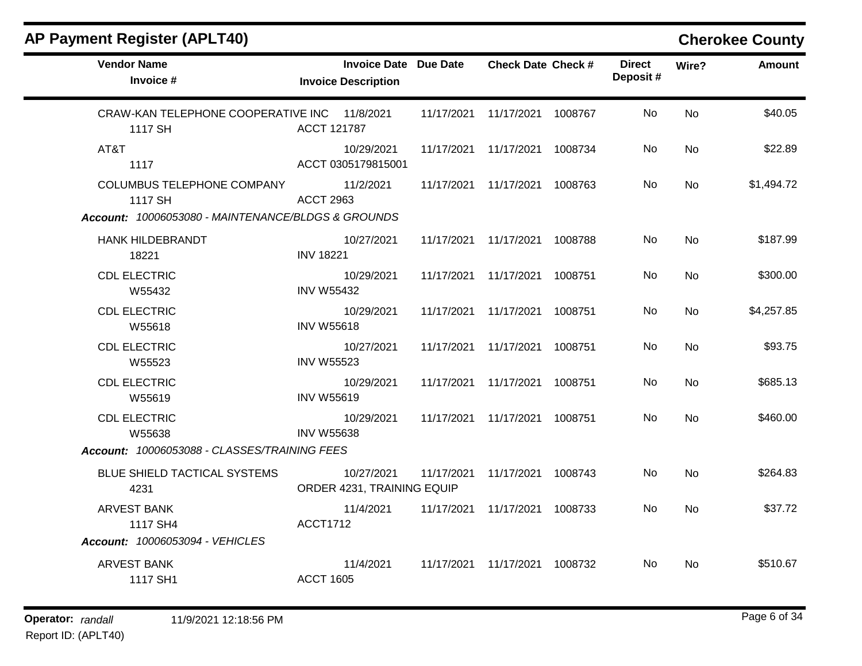| <b>Vendor Name</b><br>Invoice #                         | <b>Invoice Date Due Date</b><br><b>Invoice Description</b> |            | <b>Check Date Check #</b> |         | <b>Direct</b><br>Deposit# | Wire?     | <b>Amount</b> |
|---------------------------------------------------------|------------------------------------------------------------|------------|---------------------------|---------|---------------------------|-----------|---------------|
| CRAW-KAN TELEPHONE COOPERATIVE INC 11/8/2021<br>1117 SH | ACCT 121787                                                | 11/17/2021 | 11/17/2021                | 1008767 | No                        | <b>No</b> | \$40.05       |
| AT&T<br>1117                                            | 10/29/2021<br>ACCT 0305179815001                           | 11/17/2021 | 11/17/2021                | 1008734 | No                        | <b>No</b> | \$22.89       |
| <b>COLUMBUS TELEPHONE COMPANY</b><br>1117 SH            | 11/2/2021<br><b>ACCT 2963</b>                              | 11/17/2021 | 11/17/2021                | 1008763 | No                        | No        | \$1,494.72    |
| Account: 10006053080 - MAINTENANCE/BLDGS & GROUNDS      |                                                            |            |                           |         |                           |           |               |
| <b>HANK HILDEBRANDT</b><br>18221                        | 10/27/2021<br><b>INV 18221</b>                             | 11/17/2021 | 11/17/2021                | 1008788 | No                        | <b>No</b> | \$187.99      |
| <b>CDL ELECTRIC</b><br>W55432                           | 10/29/2021<br><b>INV W55432</b>                            | 11/17/2021 | 11/17/2021                | 1008751 | No                        | <b>No</b> | \$300.00      |
| <b>CDL ELECTRIC</b><br>W55618                           | 10/29/2021<br><b>INV W55618</b>                            | 11/17/2021 | 11/17/2021                | 1008751 | No                        | No        | \$4,257.85    |
| <b>CDL ELECTRIC</b><br>W55523                           | 10/27/2021<br><b>INV W55523</b>                            | 11/17/2021 | 11/17/2021                | 1008751 | No                        | <b>No</b> | \$93.75       |
| <b>CDL ELECTRIC</b><br>W55619                           | 10/29/2021<br><b>INV W55619</b>                            | 11/17/2021 | 11/17/2021                | 1008751 | No                        | No        | \$685.13      |
| <b>CDL ELECTRIC</b><br>W55638                           | 10/29/2021<br><b>INV W55638</b>                            | 11/17/2021 | 11/17/2021                | 1008751 | No                        | <b>No</b> | \$460.00      |
| Account: 10006053088 - CLASSES/TRAINING FEES            |                                                            |            |                           |         |                           |           |               |
| BLUE SHIELD TACTICAL SYSTEMS<br>4231                    | 10/27/2021<br>ORDER 4231, TRAINING EQUIP                   | 11/17/2021 | 11/17/2021 1008743        |         | <b>No</b>                 | <b>No</b> | \$264.83      |
| <b>ARVEST BANK</b><br>1117 SH4                          | 11/4/2021<br><b>ACCT1712</b>                               | 11/17/2021 | 11/17/2021 1008733        |         | No                        | No        | \$37.72       |
| Account: 10006053094 - VEHICLES                         |                                                            |            |                           |         |                           |           |               |
| <b>ARVEST BANK</b><br>1117 SH1                          | 11/4/2021<br><b>ACCT 1605</b>                              | 11/17/2021 | 11/17/2021                | 1008732 | No.                       | No        | \$510.67      |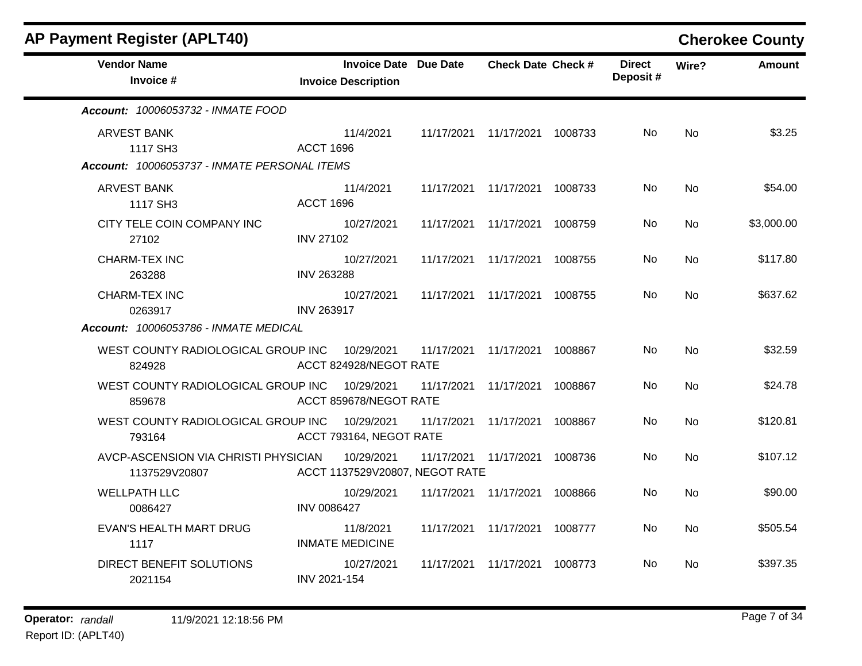| <b>AP Payment Register (APLT40)</b>                                      |                                                            |            |                                 |         |                           |           | <b>Cherokee County</b> |
|--------------------------------------------------------------------------|------------------------------------------------------------|------------|---------------------------------|---------|---------------------------|-----------|------------------------|
| <b>Vendor Name</b><br>Invoice #                                          | <b>Invoice Date Due Date</b><br><b>Invoice Description</b> |            | <b>Check Date Check #</b>       |         | <b>Direct</b><br>Deposit# | Wire?     | <b>Amount</b>          |
| <b>Account: 10006053732 - INMATE FOOD</b>                                |                                                            |            |                                 |         |                           |           |                        |
| ARVEST BANK<br>1117 SH3<br>Account: 10006053737 - INMATE PERSONAL ITEMS  | 11/4/2021<br><b>ACCT 1696</b>                              |            | 11/17/2021  11/17/2021  1008733 |         | No.                       | <b>No</b> | \$3.25                 |
| <b>ARVEST BANK</b><br>1117 SH3                                           | 11/4/2021<br><b>ACCT 1696</b>                              |            | 11/17/2021 11/17/2021           | 1008733 | No                        | No        | \$54.00                |
| CITY TELE COIN COMPANY INC<br>27102                                      | 10/27/2021<br><b>INV 27102</b>                             | 11/17/2021 | 11/17/2021                      | 1008759 | No.                       | No        | \$3,000.00             |
| <b>CHARM-TEX INC</b><br>263288                                           | 10/27/2021<br><b>INV 263288</b>                            | 11/17/2021 | 11/17/2021                      | 1008755 | No                        | <b>No</b> | \$117.80               |
| CHARM-TEX INC<br>0263917<br><b>Account: 10006053786 - INMATE MEDICAL</b> | 10/27/2021<br><b>INV 263917</b>                            |            | 11/17/2021 11/17/2021           | 1008755 | No.                       | <b>No</b> | \$637.62               |
| WEST COUNTY RADIOLOGICAL GROUP INC<br>824928                             | 10/29/2021<br>ACCT 824928/NEGOT RATE                       | 11/17/2021 | 11/17/2021                      | 1008867 | No.                       | <b>No</b> | \$32.59                |
| WEST COUNTY RADIOLOGICAL GROUP INC<br>859678                             | 10/29/2021<br>ACCT 859678/NEGOT RATE                       | 11/17/2021 | 11/17/2021                      | 1008867 | No.                       | <b>No</b> | \$24.78                |
| WEST COUNTY RADIOLOGICAL GROUP INC<br>793164                             | 10/29/2021<br>ACCT 793164, NEGOT RATE                      | 11/17/2021 | 11/17/2021                      | 1008867 | No.                       | <b>No</b> | \$120.81               |
| AVCP-ASCENSION VIA CHRISTI PHYSICIAN<br>1137529V20807                    | 10/29/2021<br>ACCT 1137529V20807, NEGOT RATE               |            | 11/17/2021 11/17/2021           | 1008736 | No.                       | <b>No</b> | \$107.12               |
| <b>WELLPATH LLC</b><br>0086427                                           | 10/29/2021<br><b>INV 0086427</b>                           | 11/17/2021 | 11/17/2021                      | 1008866 | No                        | No        | \$90.00                |
| EVAN'S HEALTH MART DRUG<br>1117                                          | 11/8/2021<br><b>INMATE MEDICINE</b>                        |            | 11/17/2021 11/17/2021           | 1008777 | No                        | No        | \$505.54               |
| DIRECT BENEFIT SOLUTIONS<br>2021154                                      | 10/27/2021<br>INV 2021-154                                 | 11/17/2021 | 11/17/2021                      | 1008773 | No.                       | <b>No</b> | \$397.35               |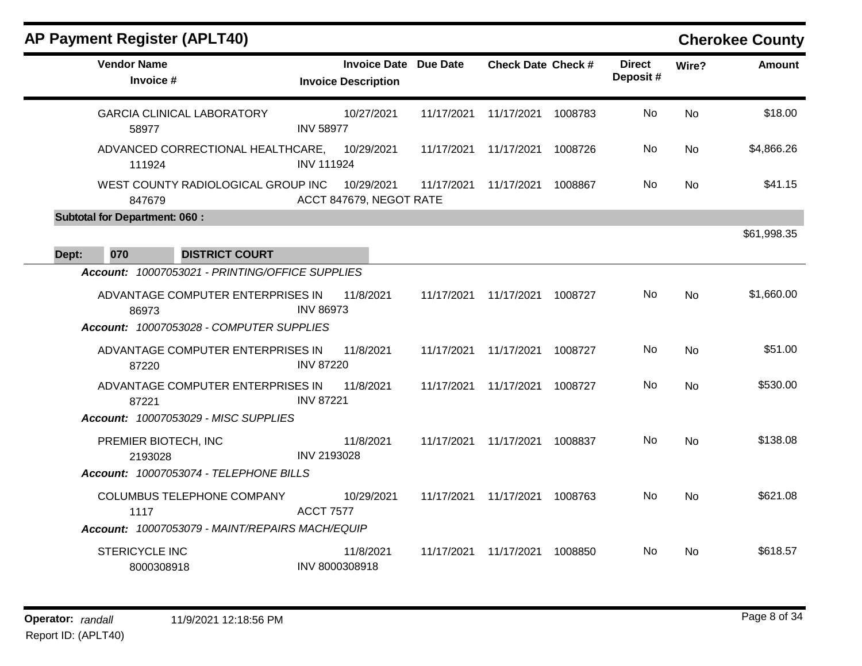| <b>Vendor Name</b><br>Invoice #                 | <b>Invoice Date Due Date</b><br><b>Invoice Description</b> |            | <b>Check Date Check #</b> |         | <b>Direct</b><br>Deposit# | Wire?     | <b>Amount</b> |
|-------------------------------------------------|------------------------------------------------------------|------------|---------------------------|---------|---------------------------|-----------|---------------|
| <b>GARCIA CLINICAL LABORATORY</b><br>58977      | 10/27/2021<br><b>INV 58977</b>                             | 11/17/2021 | 11/17/2021                | 1008783 | No                        | <b>No</b> | \$18.00       |
| ADVANCED CORRECTIONAL HEALTHCARE,<br>111924     | 10/29/2021<br><b>INV 111924</b>                            | 11/17/2021 | 11/17/2021                | 1008726 | No.                       | <b>No</b> | \$4,866.26    |
| WEST COUNTY RADIOLOGICAL GROUP INC<br>847679    | 10/29/2021<br>ACCT 847679, NEGOT RATE                      | 11/17/2021 | 11/17/2021                | 1008867 | No                        | <b>No</b> | \$41.15       |
| <b>Subtotal for Department: 060:</b>            |                                                            |            |                           |         |                           |           |               |
| 070<br><b>DISTRICT COURT</b><br>Dept:           |                                                            |            |                           |         |                           |           | \$61,998.35   |
| Account: 10007053021 - PRINTING/OFFICE SUPPLIES |                                                            |            |                           |         |                           |           |               |
| ADVANTAGE COMPUTER ENTERPRISES IN<br>86973      | 11/8/2021<br><b>INV 86973</b>                              | 11/17/2021 | 11/17/2021                | 1008727 | No                        | <b>No</b> | \$1,660.00    |
| Account: 10007053028 - COMPUTER SUPPLIES        |                                                            |            |                           |         |                           |           |               |
| ADVANTAGE COMPUTER ENTERPRISES IN<br>87220      | 11/8/2021<br><b>INV 87220</b>                              | 11/17/2021 | 11/17/2021                | 1008727 | No                        | <b>No</b> | \$51.00       |
| ADVANTAGE COMPUTER ENTERPRISES IN<br>87221      | 11/8/2021<br><b>INV 87221</b>                              | 11/17/2021 | 11/17/2021                | 1008727 | No                        | <b>No</b> | \$530.00      |
| Account: 10007053029 - MISC SUPPLIES            |                                                            |            |                           |         |                           |           |               |
| PREMIER BIOTECH, INC<br>2193028                 | 11/8/2021<br>INV 2193028                                   | 11/17/2021 | 11/17/2021                | 1008837 | No                        | <b>No</b> | \$138.08      |
| Account: 10007053074 - TELEPHONE BILLS          |                                                            |            |                           |         |                           |           |               |
| COLUMBUS TELEPHONE COMPANY<br>1117              | 10/29/2021<br><b>ACCT 7577</b>                             | 11/17/2021 | 11/17/2021                | 1008763 | No                        | <b>No</b> | \$621.08      |
| Account: 10007053079 - MAINT/REPAIRS MACH/EQUIP |                                                            |            |                           |         |                           |           |               |
| <b>STERICYCLE INC</b><br>8000308918             | 11/8/2021<br>INV 8000308918                                | 11/17/2021 | 11/17/2021                | 1008850 | No.                       | <b>No</b> | \$618.57      |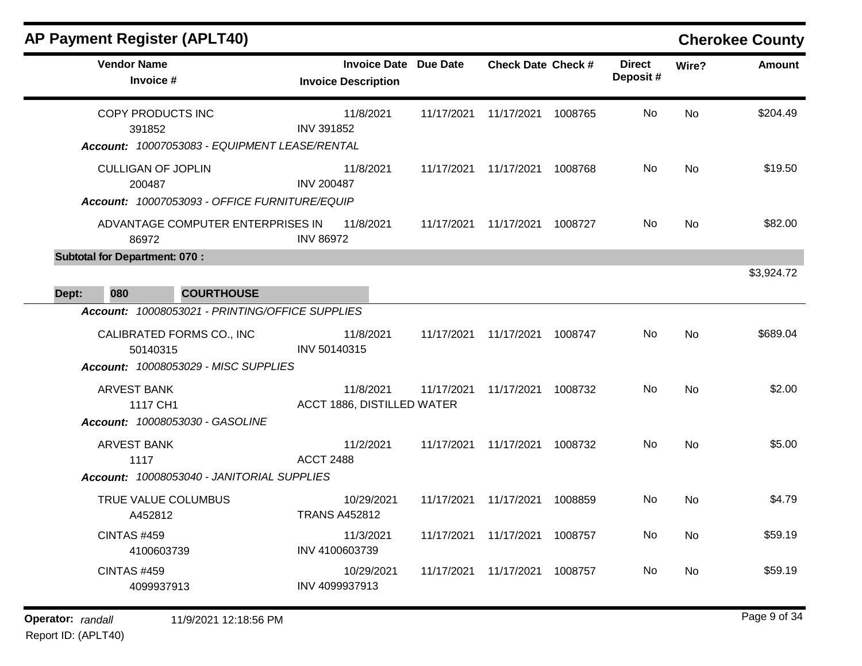| AP Payment Register (APLT40)                                                                                                     |                                                            |            |                                 |         |                           |           | <b>Cherokee County</b> |
|----------------------------------------------------------------------------------------------------------------------------------|------------------------------------------------------------|------------|---------------------------------|---------|---------------------------|-----------|------------------------|
| <b>Vendor Name</b><br>Invoice #                                                                                                  | <b>Invoice Date Due Date</b><br><b>Invoice Description</b> |            | <b>Check Date Check #</b>       |         | <b>Direct</b><br>Deposit# | Wire?     | <b>Amount</b>          |
| COPY PRODUCTS INC<br>391852<br>Account: 10007053083 - EQUIPMENT LEASE/RENTAL                                                     | 11/8/2021<br><b>INV 391852</b>                             | 11/17/2021 | 11/17/2021                      | 1008765 | No                        | <b>No</b> | \$204.49               |
| <b>CULLIGAN OF JOPLIN</b><br>200487<br>Account: 10007053093 - OFFICE FURNITURE/EQUIP                                             | 11/8/2021<br><b>INV 200487</b>                             |            | 11/17/2021  11/17/2021  1008768 |         | No                        | <b>No</b> | \$19.50                |
| ADVANTAGE COMPUTER ENTERPRISES IN<br>86972                                                                                       | 11/8/2021<br><b>INV 86972</b>                              | 11/17/2021 | 11/17/2021                      | 1008727 | No                        | <b>No</b> | \$82.00                |
| <b>Subtotal for Department: 070:</b><br>080<br><b>COURTHOUSE</b><br>Dept:                                                        |                                                            |            |                                 |         |                           |           | \$3,924.72             |
| Account: 10008053021 - PRINTING/OFFICE SUPPLIES<br>CALIBRATED FORMS CO., INC<br>50140315<br>Account: 10008053029 - MISC SUPPLIES | 11/8/2021<br>INV 50140315                                  | 11/17/2021 | 11/17/2021                      | 1008747 | No                        | <b>No</b> | \$689.04               |
| <b>ARVEST BANK</b><br>1117 CH1<br><b>Account: 10008053030 - GASOLINE</b>                                                         | 11/8/2021<br>ACCT 1886, DISTILLED WATER                    | 11/17/2021 | 11/17/2021                      | 1008732 | No                        | <b>No</b> | \$2.00                 |
| <b>ARVEST BANK</b><br>1117<br>Account: 10008053040 - JANITORIAL SUPPLIES                                                         | 11/2/2021<br><b>ACCT 2488</b>                              | 11/17/2021 | 11/17/2021                      | 1008732 | No                        | <b>No</b> | \$5.00                 |
| TRUE VALUE COLUMBUS<br>A452812                                                                                                   | 10/29/2021<br><b>TRANS A452812</b>                         | 11/17/2021 | 11/17/2021                      | 1008859 | No                        | <b>No</b> | \$4.79                 |
| <b>CINTAS #459</b><br>4100603739                                                                                                 | 11/3/2021<br>INV 4100603739                                | 11/17/2021 | 11/17/2021                      | 1008757 | No                        | <b>No</b> | \$59.19                |
| <b>CINTAS #459</b><br>4099937913                                                                                                 | 10/29/2021<br>INV 4099937913                               | 11/17/2021 | 11/17/2021                      | 1008757 | No                        | No        | \$59.19                |

**Operator:** randall 11/9/2021 12:18:56 PM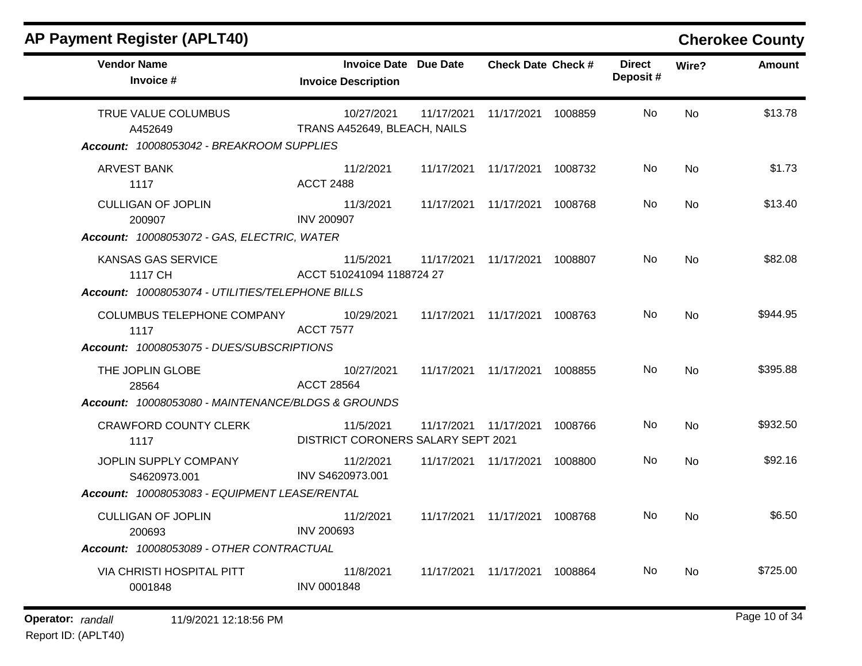| <b>AP Payment Register (APLT40)</b>                                                                                              |                                                            |            |                                 |         |                           |           | <b>Cherokee County</b> |
|----------------------------------------------------------------------------------------------------------------------------------|------------------------------------------------------------|------------|---------------------------------|---------|---------------------------|-----------|------------------------|
| <b>Vendor Name</b><br>Invoice #                                                                                                  | <b>Invoice Date Due Date</b><br><b>Invoice Description</b> |            | <b>Check Date Check #</b>       |         | <b>Direct</b><br>Deposit# | Wire?     | <b>Amount</b>          |
| TRUE VALUE COLUMBUS<br>A452649<br>Account: 10008053042 - BREAKROOM SUPPLIES                                                      | 10/27/2021<br>TRANS A452649, BLEACH, NAILS                 | 11/17/2021 | 11/17/2021 1008859              |         | No                        | <b>No</b> | \$13.78                |
|                                                                                                                                  |                                                            |            |                                 |         |                           |           |                        |
| <b>ARVEST BANK</b><br>1117                                                                                                       | 11/2/2021<br><b>ACCT 2488</b>                              |            | 11/17/2021  11/17/2021  1008732 |         | No                        | No        | \$1.73                 |
| <b>CULLIGAN OF JOPLIN</b><br>200907                                                                                              | 11/3/2021<br><b>INV 200907</b>                             |            | 11/17/2021  11/17/2021  1008768 |         | No                        | No        | \$13.40                |
| Account: 10008053072 - GAS, ELECTRIC, WATER<br>KANSAS GAS SERVICE<br>1117 CH<br>Account: 10008053074 - UTILITIES/TELEPHONE BILLS | 11/5/2021<br>ACCT 510241094 1188724 27                     | 11/17/2021 | 11/17/2021 1008807              |         | No                        | No        | \$82.08                |
| COLUMBUS TELEPHONE COMPANY<br>1117                                                                                               | 10/29/2021<br><b>ACCT 7577</b>                             |            | 11/17/2021  11/17/2021  1008763 |         | No                        | No        | \$944.95               |
| Account: 10008053075 - DUES/SUBSCRIPTIONS                                                                                        |                                                            |            |                                 |         |                           |           |                        |
| THE JOPLIN GLOBE<br>28564                                                                                                        | 10/27/2021<br><b>ACCT 28564</b>                            |            | 11/17/2021 11/17/2021           | 1008855 | No                        | <b>No</b> | \$395.88               |
| Account: 10008053080 - MAINTENANCE/BLDGS & GROUNDS                                                                               |                                                            |            |                                 |         |                           |           |                        |
| <b>CRAWFORD COUNTY CLERK</b><br>1117                                                                                             | 11/5/2021<br>DISTRICT CORONERS SALARY SEPT 2021            | 11/17/2021 | 11/17/2021                      | 1008766 | No                        | <b>No</b> | \$932.50               |
| JOPLIN SUPPLY COMPANY<br>S4620973.001                                                                                            | 11/2/2021<br>INV S4620973.001                              | 11/17/2021 | 11/17/2021                      | 1008800 | No                        | No        | \$92.16                |
| Account: 10008053083 - EQUIPMENT LEASE/RENTAL                                                                                    |                                                            |            |                                 |         |                           |           |                        |
| <b>CULLIGAN OF JOPLIN</b><br>200693                                                                                              | 11/2/2021<br><b>INV 200693</b>                             |            | 11/17/2021  11/17/2021  1008768 |         | No                        | No        | \$6.50                 |
| Account: 10008053089 - OTHER CONTRACTUAL                                                                                         |                                                            |            |                                 |         |                           |           |                        |
| VIA CHRISTI HOSPITAL PITT<br>0001848                                                                                             | 11/8/2021<br><b>INV 0001848</b>                            |            | 11/17/2021  11/17/2021  1008864 |         | No.                       | No        | \$725.00               |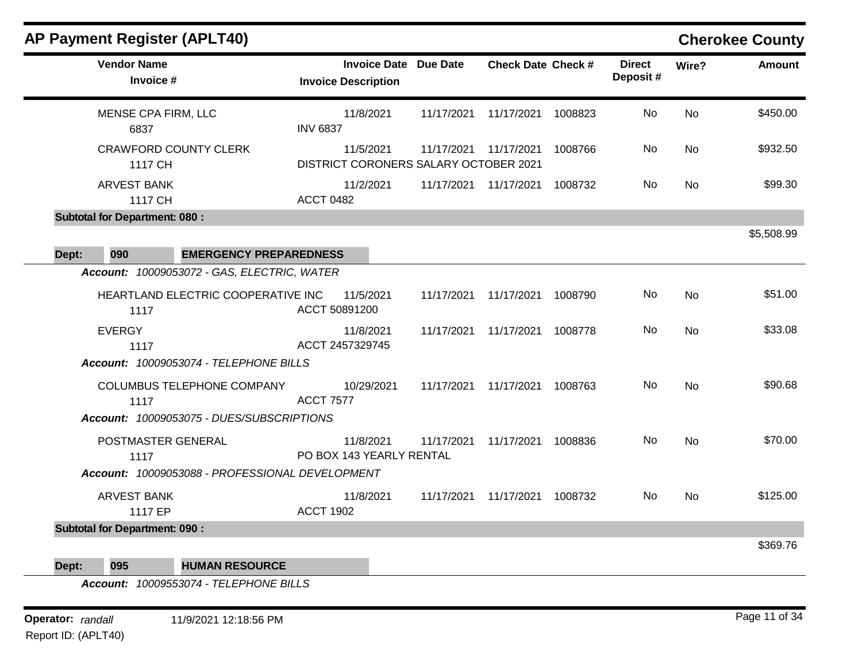| <b>Vendor Name</b><br>Invoice #                 | <b>Invoice Date Due Date</b><br><b>Invoice Description</b> |            | <b>Check Date Check #</b>       |         | <b>Direct</b><br>Deposit# | Wire?     | <b>Amount</b> |
|-------------------------------------------------|------------------------------------------------------------|------------|---------------------------------|---------|---------------------------|-----------|---------------|
| MENSE CPA FIRM, LLC<br>6837                     | 11/8/2021<br><b>INV 6837</b>                               | 11/17/2021 | 11/17/2021                      | 1008823 | No                        | <b>No</b> | \$450.00      |
| <b>CRAWFORD COUNTY CLERK</b><br>1117 CH         | 11/5/2021<br>DISTRICT CORONERS SALARY OCTOBER 2021         |            | 11/17/2021 11/17/2021           | 1008766 | No.                       | No        | \$932.50      |
| <b>ARVEST BANK</b><br>1117 CH                   | 11/2/2021<br><b>ACCT 0482</b>                              |            | 11/17/2021 11/17/2021           | 1008732 | No                        | <b>No</b> | \$99.30       |
| <b>Subtotal for Department: 080:</b>            |                                                            |            |                                 |         |                           |           |               |
| 090<br><b>EMERGENCY PREPAREDNESS</b><br>Dept:   |                                                            |            |                                 |         |                           |           | \$5,508.99    |
| Account: 10009053072 - GAS, ELECTRIC, WATER     |                                                            |            |                                 |         |                           |           |               |
| HEARTLAND ELECTRIC COOPERATIVE INC<br>1117      | 11/5/2021<br>ACCT 50891200                                 | 11/17/2021 | 11/17/2021                      | 1008790 | No                        | <b>No</b> | \$51.00       |
| <b>EVERGY</b><br>1117                           | 11/8/2021<br>ACCT 2457329745                               | 11/17/2021 | 11/17/2021                      | 1008778 | No                        | No        | \$33.08       |
| Account: 10009053074 - TELEPHONE BILLS          |                                                            |            |                                 |         |                           |           |               |
| COLUMBUS TELEPHONE COMPANY<br>1117              | 10/29/2021<br><b>ACCT 7577</b>                             |            | 11/17/2021  11/17/2021  1008763 |         | No.                       | No        | \$90.68       |
| Account: 10009053075 - DUES/SUBSCRIPTIONS       |                                                            |            |                                 |         |                           |           |               |
| POSTMASTER GENERAL<br>1117                      | 11/8/2021<br>PO BOX 143 YEARLY RENTAL                      | 11/17/2021 | 11/17/2021 1008836              |         | No                        | <b>No</b> | \$70.00       |
| Account: 10009053088 - PROFESSIONAL DEVELOPMENT |                                                            |            |                                 |         |                           |           |               |
| <b>ARVEST BANK</b><br>1117 EP                   | 11/8/2021<br><b>ACCT 1902</b>                              | 11/17/2021 | 11/17/2021 1008732              |         | No.                       | No        | \$125.00      |
| <b>Subtotal for Department: 090:</b>            |                                                            |            |                                 |         |                           |           |               |
| 095<br>Dept:<br><b>HUMAN RESOURCE</b>           |                                                            |            |                                 |         |                           |           | \$369.76      |

*Account: 10009553074 - TELEPHONE BILLS*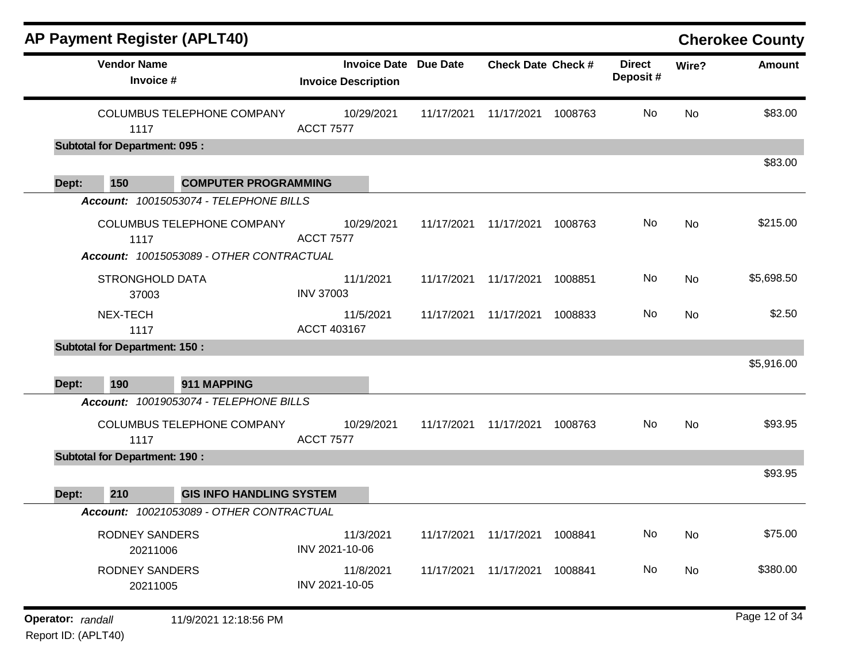|                   |                                      | <b>AP Payment Register (APLT40)</b>                   |                                                            |            |                           |         |                           |       | <b>Cherokee County</b> |
|-------------------|--------------------------------------|-------------------------------------------------------|------------------------------------------------------------|------------|---------------------------|---------|---------------------------|-------|------------------------|
|                   | <b>Vendor Name</b><br>Invoice #      |                                                       | <b>Invoice Date Due Date</b><br><b>Invoice Description</b> |            | <b>Check Date Check #</b> |         | <b>Direct</b><br>Deposit# | Wire? | Amount                 |
|                   | 1117                                 | <b>COLUMBUS TELEPHONE COMPANY</b>                     | 10/29/2021<br><b>ACCT 7577</b>                             | 11/17/2021 | 11/17/2021 1008763        |         | No                        | No    | \$83.00                |
|                   | <b>Subtotal for Department: 095:</b> |                                                       |                                                            |            |                           |         |                           |       |                        |
| Dept:             | 150                                  | <b>COMPUTER PROGRAMMING</b>                           |                                                            |            |                           |         |                           |       | \$83.00                |
|                   |                                      | Account: 10015053074 - TELEPHONE BILLS                |                                                            |            |                           |         |                           |       |                        |
|                   | 1117                                 | COLUMBUS TELEPHONE COMPANY                            | 10/29/2021<br><b>ACCT 7577</b>                             | 11/17/2021 | 11/17/2021                | 1008763 | No                        | No    | \$215.00               |
|                   |                                      | Account: 10015053089 - OTHER CONTRACTUAL              |                                                            |            |                           |         |                           |       |                        |
|                   | <b>STRONGHOLD DATA</b><br>37003      |                                                       | 11/1/2021<br><b>INV 37003</b>                              | 11/17/2021 | 11/17/2021                | 1008851 | No                        | No    | \$5,698.50             |
|                   | NEX-TECH<br>1117                     |                                                       | 11/5/2021<br>ACCT 403167                                   | 11/17/2021 | 11/17/2021                | 1008833 | No                        | No    | \$2.50                 |
|                   | <b>Subtotal for Department: 150:</b> |                                                       |                                                            |            |                           |         |                           |       |                        |
|                   |                                      |                                                       |                                                            |            |                           |         |                           |       | \$5,916.00             |
| Dept:             | 190                                  | 911 MAPPING<br>Account: 10019053074 - TELEPHONE BILLS |                                                            |            |                           |         |                           |       |                        |
|                   | 1117                                 | COLUMBUS TELEPHONE COMPANY                            | 10/29/2021<br><b>ACCT 7577</b>                             | 11/17/2021 | 11/17/2021                | 1008763 | No                        | No    | \$93.95                |
|                   | <b>Subtotal for Department: 190:</b> |                                                       |                                                            |            |                           |         |                           |       |                        |
| Dept:             | 210                                  | <b>GIS INFO HANDLING SYSTEM</b>                       |                                                            |            |                           |         |                           |       | \$93.95                |
|                   |                                      | Account: 10021053089 - OTHER CONTRACTUAL              |                                                            |            |                           |         |                           |       |                        |
|                   | <b>RODNEY SANDERS</b><br>20211006    |                                                       | 11/3/2021<br>INV 2021-10-06                                | 11/17/2021 | 11/17/2021                | 1008841 | No                        | No    | \$75.00                |
|                   | <b>RODNEY SANDERS</b><br>20211005    |                                                       | 11/8/2021<br>INV 2021-10-05                                | 11/17/2021 | 11/17/2021 1008841        |         | No                        | No    | \$380.00               |
| Operator: randall |                                      | 11/9/2021 12:18:56 PM                                 |                                                            |            |                           |         |                           |       | Page 12 of 34          |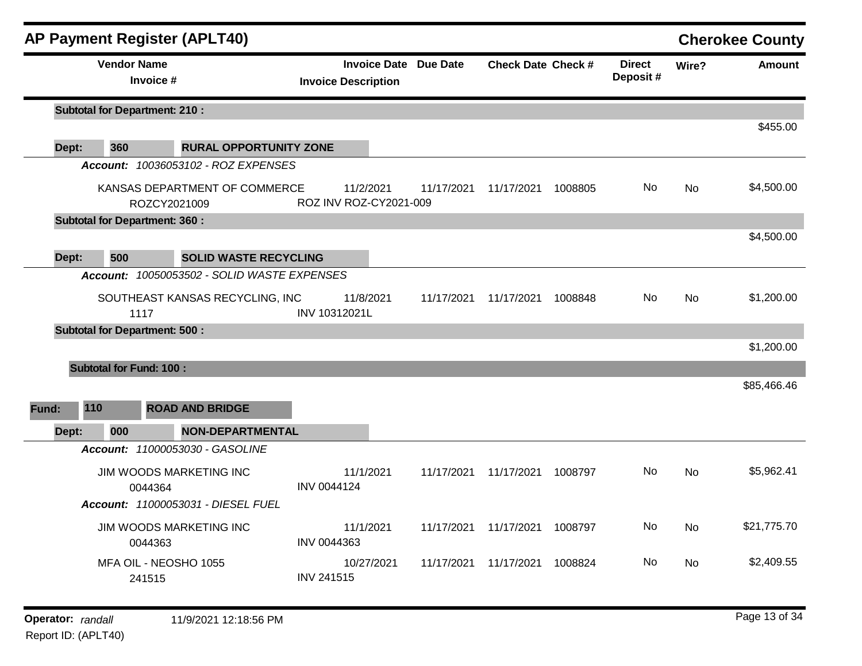|       |                 | <b>AP Payment Register (APLT40)</b>                                      |                                     |                              |                                 |         |                           |           | <b>Cherokee County</b> |
|-------|-----------------|--------------------------------------------------------------------------|-------------------------------------|------------------------------|---------------------------------|---------|---------------------------|-----------|------------------------|
|       |                 | <b>Vendor Name</b><br>Invoice #                                          | <b>Invoice Description</b>          | <b>Invoice Date Due Date</b> | <b>Check Date Check #</b>       |         | <b>Direct</b><br>Deposit# | Wire?     | <b>Amount</b>          |
|       |                 | <b>Subtotal for Department: 210:</b>                                     |                                     |                              |                                 |         |                           |           |                        |
| Dept: | 360             | <b>RURAL OPPORTUNITY ZONE</b>                                            |                                     |                              |                                 |         |                           |           | \$455.00               |
|       |                 | Account: 10036053102 - ROZ EXPENSES                                      |                                     |                              |                                 |         |                           |           |                        |
|       |                 | KANSAS DEPARTMENT OF COMMERCE<br>ROZCY2021009                            | 11/2/2021<br>ROZ INV ROZ-CY2021-009 | 11/17/2021                   | 11/17/2021                      | 1008805 | No.                       | <b>No</b> | \$4,500.00             |
|       |                 | <b>Subtotal for Department: 360:</b>                                     |                                     |                              |                                 |         |                           |           |                        |
| Dept: | 500             | <b>SOLID WASTE RECYCLING</b>                                             |                                     |                              |                                 |         |                           |           | \$4,500.00             |
|       | <b>Account:</b> | 10050053502 - SOLID WASTE EXPENSES                                       |                                     |                              |                                 |         |                           |           |                        |
|       |                 | SOUTHEAST KANSAS RECYCLING, INC<br>1117                                  | 11/8/2021<br>INV 10312021L          | 11/17/2021                   | 11/17/2021                      | 1008848 | No                        | <b>No</b> | \$1,200.00             |
|       |                 | <b>Subtotal for Department: 500:</b>                                     |                                     |                              |                                 |         |                           |           |                        |
|       |                 |                                                                          |                                     |                              |                                 |         |                           |           | \$1,200.00             |
|       |                 | <b>Subtotal for Fund: 100:</b>                                           |                                     |                              |                                 |         |                           |           |                        |
| Fund: | 110             | <b>ROAD AND BRIDGE</b>                                                   |                                     |                              |                                 |         |                           |           | \$85,466.46            |
| Dept: | 000             | <b>NON-DEPARTMENTAL</b>                                                  |                                     |                              |                                 |         |                           |           |                        |
|       |                 | Account: 11000053030 - GASOLINE                                          |                                     |                              |                                 |         |                           |           |                        |
|       |                 | JIM WOODS MARKETING INC<br>0044364<br>Account: 11000053031 - DIESEL FUEL | 11/1/2021<br>INV 0044124            | 11/17/2021                   | 11/17/2021                      | 1008797 | No                        | <b>No</b> | \$5,962.41             |
|       |                 | JIM WOODS MARKETING INC<br>0044363                                       | 11/1/2021<br>INV 0044363            |                              | 11/17/2021  11/17/2021  1008797 |         | No                        | No        | \$21,775.70            |
|       |                 | MFA OIL - NEOSHO 1055<br>241515                                          | 10/27/2021<br><b>INV 241515</b>     |                              | 11/17/2021  11/17/2021          | 1008824 | No                        | No        | \$2,409.55             |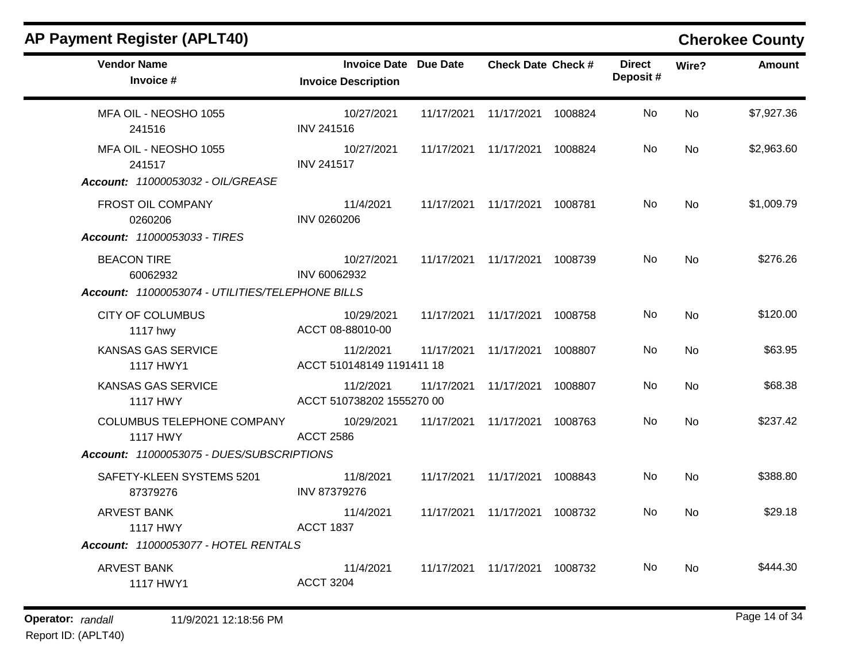| <b>AP Payment Register (APLT40)</b>                                                                      |                                                            |            |                                 |         |                           |       | <b>Cherokee County</b> |
|----------------------------------------------------------------------------------------------------------|------------------------------------------------------------|------------|---------------------------------|---------|---------------------------|-------|------------------------|
| <b>Vendor Name</b><br>Invoice #                                                                          | <b>Invoice Date Due Date</b><br><b>Invoice Description</b> |            | <b>Check Date Check #</b>       |         | <b>Direct</b><br>Deposit# | Wire? | <b>Amount</b>          |
| MFA OIL - NEOSHO 1055<br>241516                                                                          | 10/27/2021<br><b>INV 241516</b>                            | 11/17/2021 | 11/17/2021                      | 1008824 | No                        | No    | \$7,927.36             |
| MFA OIL - NEOSHO 1055<br>241517                                                                          | 10/27/2021<br><b>INV 241517</b>                            | 11/17/2021 | 11/17/2021                      | 1008824 | No                        | No    | \$2,963.60             |
| Account: 11000053032 - OIL/GREASE<br>FROST OIL COMPANY<br>0260206<br><b>Account: 11000053033 - TIRES</b> | 11/4/2021<br>INV 0260206                                   | 11/17/2021 | 11/17/2021                      | 1008781 | No                        | No    | \$1,009.79             |
| <b>BEACON TIRE</b><br>60062932<br>Account: 11000053074 - UTILITIES/TELEPHONE BILLS                       | 10/27/2021<br>INV 60062932                                 | 11/17/2021 | 11/17/2021                      | 1008739 | No                        | No    | \$276.26               |
| <b>CITY OF COLUMBUS</b><br>1117 hwy                                                                      | 10/29/2021<br>ACCT 08-88010-00                             | 11/17/2021 | 11/17/2021                      | 1008758 | No                        | No    | \$120.00               |
| KANSAS GAS SERVICE<br>1117 HWY1                                                                          | 11/2/2021<br>ACCT 510148149 1191411 18                     | 11/17/2021 | 11/17/2021                      | 1008807 | No                        | No    | \$63.95                |
| <b>KANSAS GAS SERVICE</b><br><b>1117 HWY</b>                                                             | 11/2/2021<br>ACCT 510738202 1555270 00                     | 11/17/2021 | 11/17/2021                      | 1008807 | No                        | No    | \$68.38                |
| COLUMBUS TELEPHONE COMPANY<br><b>1117 HWY</b><br>Account: 11000053075 - DUES/SUBSCRIPTIONS               | 10/29/2021<br><b>ACCT 2586</b>                             | 11/17/2021 | 11/17/2021                      | 1008763 | No                        | No    | \$237.42               |
| SAFETY-KLEEN SYSTEMS 5201<br>87379276                                                                    | 11/8/2021<br>INV 87379276                                  | 11/17/2021 | 11/17/2021                      | 1008843 | No                        | No    | \$388.80               |
| <b>ARVEST BANK</b><br><b>1117 HWY</b>                                                                    | 11/4/2021<br><b>ACCT 1837</b>                              | 11/17/2021 | 11/17/2021                      | 1008732 | No.                       | No    | \$29.18                |
| <b>Account: 11000053077 - HOTEL RENTALS</b>                                                              |                                                            |            |                                 |         |                           |       |                        |
| ARVEST BANK<br>1117 HWY1                                                                                 | 11/4/2021<br><b>ACCT 3204</b>                              |            | 11/17/2021  11/17/2021  1008732 |         | No.                       | No    | \$444.30               |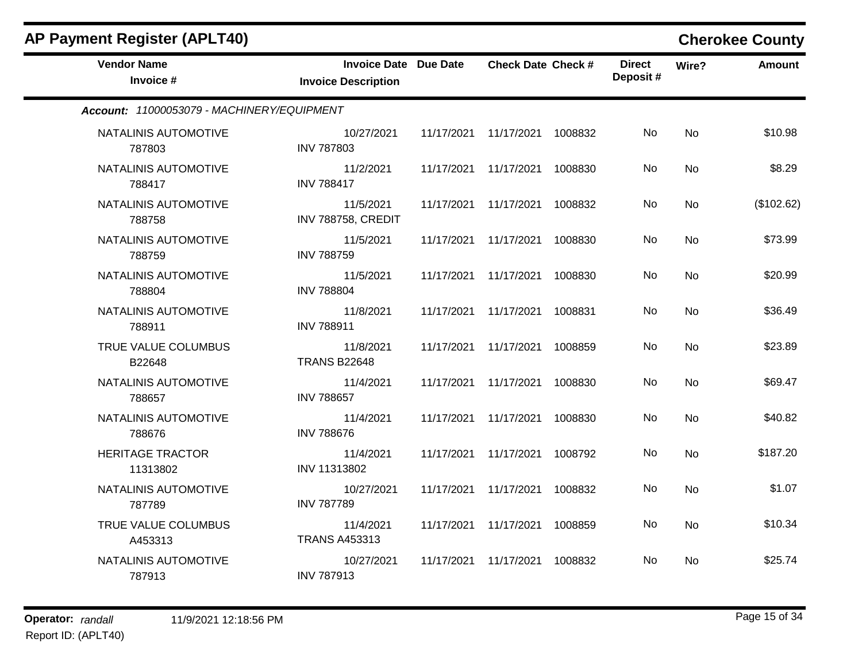| <b>AP Payment Register (APLT40)</b>        |                                                            |            |                               |         |                           |           | <b>Cherokee County</b> |
|--------------------------------------------|------------------------------------------------------------|------------|-------------------------------|---------|---------------------------|-----------|------------------------|
| <b>Vendor Name</b><br>Invoice #            | <b>Invoice Date Due Date</b><br><b>Invoice Description</b> |            | <b>Check Date Check #</b>     |         | <b>Direct</b><br>Deposit# | Wire?     | <b>Amount</b>          |
| Account: 11000053079 - MACHINERY/EQUIPMENT |                                                            |            |                               |         |                           |           |                        |
| NATALINIS AUTOMOTIVE<br>787803             | 10/27/2021<br><b>INV 787803</b>                            |            | 11/17/2021 11/17/2021 1008832 |         | No                        | <b>No</b> | \$10.98                |
| NATALINIS AUTOMOTIVE<br>788417             | 11/2/2021<br><b>INV 788417</b>                             |            | 11/17/2021 11/17/2021         | 1008830 | No                        | <b>No</b> | \$8.29                 |
| NATALINIS AUTOMOTIVE<br>788758             | 11/5/2021<br>INV 788758, CREDIT                            |            | 11/17/2021 11/17/2021         | 1008832 | No.                       | No        | (\$102.62)             |
| NATALINIS AUTOMOTIVE<br>788759             | 11/5/2021<br><b>INV 788759</b>                             |            | 11/17/2021 11/17/2021         | 1008830 | No                        | <b>No</b> | \$73.99                |
| NATALINIS AUTOMOTIVE<br>788804             | 11/5/2021<br><b>INV 788804</b>                             | 11/17/2021 | 11/17/2021                    | 1008830 | No                        | <b>No</b> | \$20.99                |
| NATALINIS AUTOMOTIVE<br>788911             | 11/8/2021<br><b>INV 788911</b>                             |            | 11/17/2021 11/17/2021         | 1008831 | No                        | No        | \$36.49                |
| TRUE VALUE COLUMBUS<br>B22648              | 11/8/2021<br><b>TRANS B22648</b>                           | 11/17/2021 | 11/17/2021                    | 1008859 | No.                       | <b>No</b> | \$23.89                |
| NATALINIS AUTOMOTIVE<br>788657             | 11/4/2021<br><b>INV 788657</b>                             |            | 11/17/2021 11/17/2021         | 1008830 | No.                       | No        | \$69.47                |
| NATALINIS AUTOMOTIVE<br>788676             | 11/4/2021<br><b>INV 788676</b>                             | 11/17/2021 | 11/17/2021                    | 1008830 | No                        | <b>No</b> | \$40.82                |
| <b>HERITAGE TRACTOR</b><br>11313802        | 11/4/2021<br>INV 11313802                                  |            | 11/17/2021 11/17/2021         | 1008792 | No.                       | <b>No</b> | \$187.20               |
| NATALINIS AUTOMOTIVE<br>787789             | 10/27/2021<br><b>INV 787789</b>                            |            | 11/17/2021 11/17/2021         | 1008832 | No                        | <b>No</b> | \$1.07                 |
| TRUE VALUE COLUMBUS<br>A453313             | 11/4/2021<br><b>TRANS A453313</b>                          |            | 11/17/2021 11/17/2021         | 1008859 | No                        | No        | \$10.34                |
| NATALINIS AUTOMOTIVE<br>787913             | 10/27/2021<br><b>INV 787913</b>                            |            | 11/17/2021 11/17/2021         | 1008832 | No.                       | No        | \$25.74                |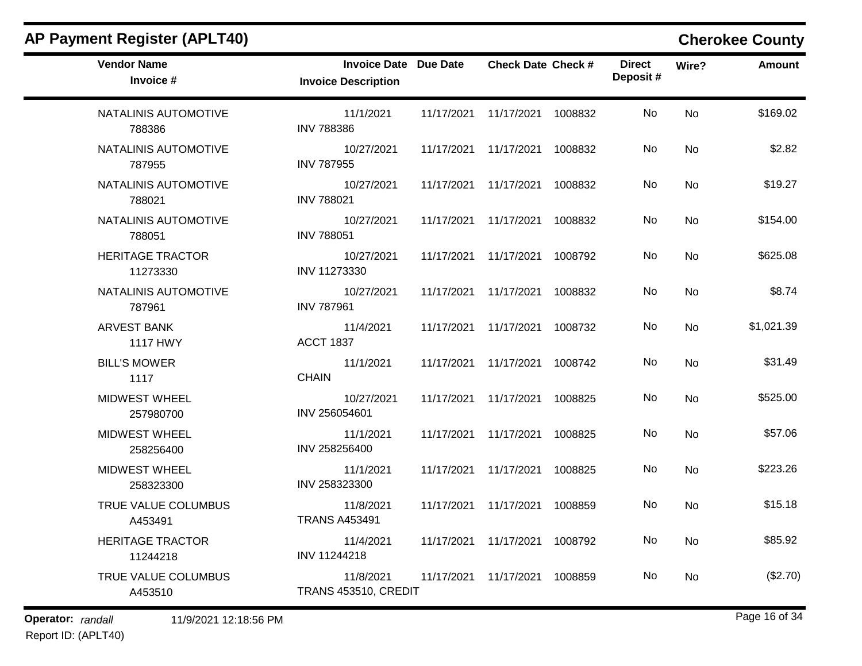| <b>Vendor Name</b><br>Invoice #       | <b>Invoice Date Due Date</b><br><b>Invoice Description</b> | <b>Check Date Check #</b>       |         | <b>Direct</b><br>Deposit# | Wire?     | <b>Amount</b> |
|---------------------------------------|------------------------------------------------------------|---------------------------------|---------|---------------------------|-----------|---------------|
|                                       |                                                            |                                 |         |                           |           |               |
| NATALINIS AUTOMOTIVE<br>788386        | 11/1/2021<br><b>INV 788386</b>                             | 11/17/2021  11/17/2021  1008832 |         | No.                       | <b>No</b> | \$169.02      |
| NATALINIS AUTOMOTIVE<br>787955        | 10/27/2021<br><b>INV 787955</b>                            | 11/17/2021  11/17/2021  1008832 |         | No.                       | No        | \$2.82        |
| NATALINIS AUTOMOTIVE<br>788021        | 10/27/2021<br><b>INV 788021</b>                            | 11/17/2021 11/17/2021           | 1008832 | No                        | <b>No</b> | \$19.27       |
| NATALINIS AUTOMOTIVE<br>788051        | 10/27/2021<br><b>INV 788051</b>                            | 11/17/2021 11/17/2021 1008832   |         | No.                       | <b>No</b> | \$154.00      |
| <b>HERITAGE TRACTOR</b><br>11273330   | 10/27/2021<br>INV 11273330                                 | 11/17/2021  11/17/2021  1008792 |         | No                        | <b>No</b> | \$625.08      |
| NATALINIS AUTOMOTIVE<br>787961        | 10/27/2021<br><b>INV 787961</b>                            | 11/17/2021 11/17/2021 1008832   |         | No                        | <b>No</b> | \$8.74        |
| <b>ARVEST BANK</b><br><b>1117 HWY</b> | 11/4/2021<br><b>ACCT 1837</b>                              | 11/17/2021  11/17/2021  1008732 |         | No.                       | No        | \$1,021.39    |
| <b>BILL'S MOWER</b><br>1117           | 11/1/2021<br><b>CHAIN</b>                                  | 11/17/2021  11/17/2021          | 1008742 | No                        | <b>No</b> | \$31.49       |
| <b>MIDWEST WHEEL</b><br>257980700     | 10/27/2021<br>INV 256054601                                | 11/17/2021 11/17/2021           | 1008825 | No.                       | <b>No</b> | \$525.00      |
| <b>MIDWEST WHEEL</b><br>258256400     | 11/1/2021<br>INV 258256400                                 | 11/17/2021 11/17/2021           | 1008825 | No                        | <b>No</b> | \$57.06       |
| <b>MIDWEST WHEEL</b><br>258323300     | 11/1/2021<br>INV 258323300                                 | 11/17/2021 11/17/2021           | 1008825 | No.                       | <b>No</b> | \$223.26      |
| TRUE VALUE COLUMBUS<br>A453491        | 11/8/2021<br><b>TRANS A453491</b>                          | 11/17/2021  11/17/2021  1008859 |         | No                        | <b>No</b> | \$15.18       |
| <b>HERITAGE TRACTOR</b><br>11244218   | 11/4/2021<br>INV 11244218                                  | 11/17/2021  11/17/2021  1008792 |         | No                        | <b>No</b> | \$85.92       |
| TRUE VALUE COLUMBUS<br>A453510        | 11/8/2021<br>TRANS 453510, CREDIT                          | 11/17/2021 11/17/2021           | 1008859 | No.                       | <b>No</b> | (\$2.70)      |

## **Operator:** randall 11/9/2021 12:18:56 PM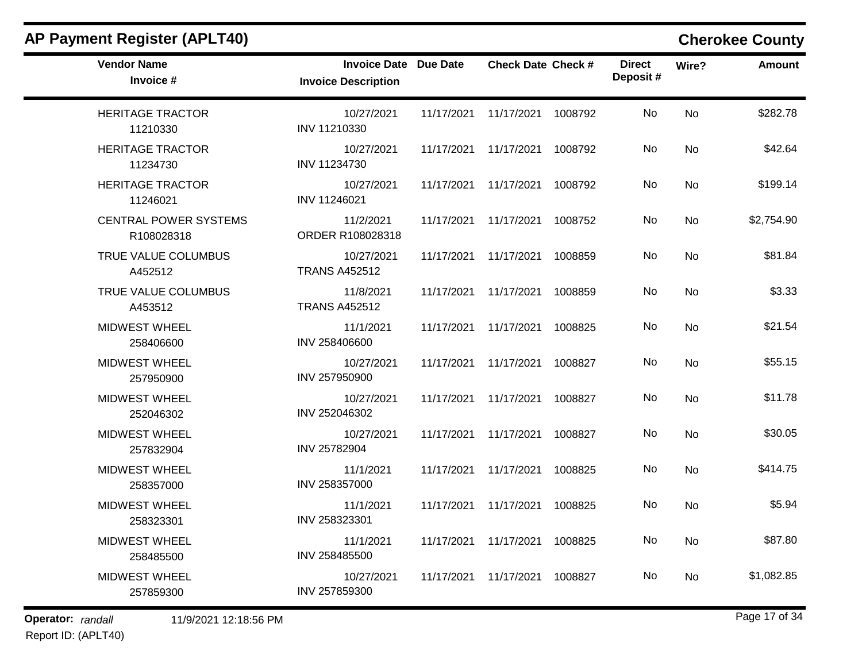| <b>Vendor Name</b><br>Invoice #            | <b>Invoice Date Due Date</b><br><b>Invoice Description</b> |            | <b>Check Date Check #</b>       | <b>Direct</b><br>Deposit# | Wire?     | <b>Amount</b> |
|--------------------------------------------|------------------------------------------------------------|------------|---------------------------------|---------------------------|-----------|---------------|
| <b>HERITAGE TRACTOR</b><br>11210330        | 10/27/2021<br>INV 11210330                                 |            | 11/17/2021  11/17/2021  1008792 | No                        | <b>No</b> | \$282.78      |
| <b>HERITAGE TRACTOR</b><br>11234730        | 10/27/2021<br>INV 11234730                                 |            | 11/17/2021  11/17/2021  1008792 | No                        | <b>No</b> | \$42.64       |
| <b>HERITAGE TRACTOR</b><br>11246021        | 10/27/2021<br>INV 11246021                                 |            | 11/17/2021  11/17/2021  1008792 | No                        | <b>No</b> | \$199.14      |
| <b>CENTRAL POWER SYSTEMS</b><br>R108028318 | 11/2/2021<br>ORDER R108028318                              |            | 11/17/2021  11/17/2021  1008752 | No                        | <b>No</b> | \$2,754.90    |
| TRUE VALUE COLUMBUS<br>A452512             | 10/27/2021<br><b>TRANS A452512</b>                         |            | 11/17/2021  11/17/2021  1008859 | No                        | <b>No</b> | \$81.84       |
| TRUE VALUE COLUMBUS<br>A453512             | 11/8/2021<br><b>TRANS A452512</b>                          | 11/17/2021 | 11/17/2021 1008859              | No.                       | <b>No</b> | \$3.33        |
| <b>MIDWEST WHEEL</b><br>258406600          | 11/1/2021<br>INV 258406600                                 |            | 11/17/2021 11/17/2021 1008825   | No.                       | No        | \$21.54       |
| <b>MIDWEST WHEEL</b><br>257950900          | 10/27/2021<br>INV 257950900                                |            | 11/17/2021  11/17/2021  1008827 | No                        | <b>No</b> | \$55.15       |
| <b>MIDWEST WHEEL</b><br>252046302          | 10/27/2021<br>INV 252046302                                |            | 11/17/2021  11/17/2021  1008827 | No                        | <b>No</b> | \$11.78       |
| <b>MIDWEST WHEEL</b><br>257832904          | 10/27/2021<br>INV 25782904                                 |            | 11/17/2021  11/17/2021  1008827 | No                        | <b>No</b> | \$30.05       |
| <b>MIDWEST WHEEL</b><br>258357000          | 11/1/2021<br>INV 258357000                                 |            | 11/17/2021 11/17/2021 1008825   | No                        | <b>No</b> | \$414.75      |
| <b>MIDWEST WHEEL</b><br>258323301          | 11/1/2021<br>INV 258323301                                 |            | 11/17/2021 11/17/2021 1008825   | No.                       | No        | \$5.94        |
| <b>MIDWEST WHEEL</b><br>258485500          | 11/1/2021<br>INV 258485500                                 |            | 11/17/2021  11/17/2021  1008825 | No                        | No        | \$87.80       |
| <b>MIDWEST WHEEL</b><br>257859300          | 10/27/2021<br>INV 257859300                                |            | 11/17/2021  11/17/2021  1008827 | No.                       | No.       | \$1,082.85    |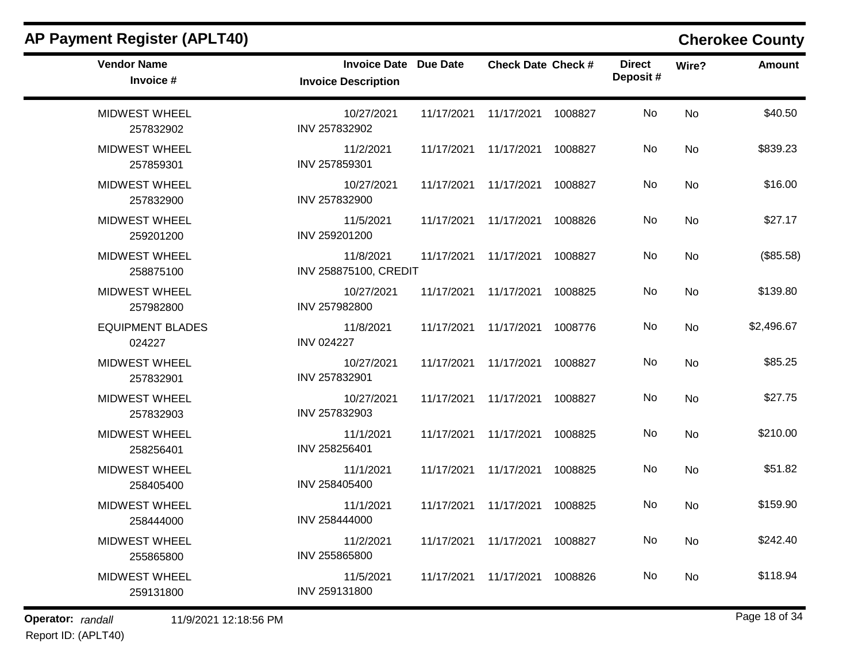| <b>Vendor Name</b><br>Invoice #   | <b>Invoice Date Due Date</b><br><b>Invoice Description</b> |            | <b>Check Date Check #</b> |         | <b>Direct</b><br>Deposit# | Wire?     | Amount     |
|-----------------------------------|------------------------------------------------------------|------------|---------------------------|---------|---------------------------|-----------|------------|
| <b>MIDWEST WHEEL</b><br>257832902 | 10/27/2021<br>INV 257832902                                | 11/17/2021 | 11/17/2021 1008827        |         | <b>No</b>                 | <b>No</b> | \$40.50    |
| <b>MIDWEST WHEEL</b><br>257859301 | 11/2/2021<br>INV 257859301                                 | 11/17/2021 | 11/17/2021 1008827        |         | No.                       | <b>No</b> | \$839.23   |
| <b>MIDWEST WHEEL</b><br>257832900 | 10/27/2021<br>INV 257832900                                | 11/17/2021 | 11/17/2021 1008827        |         | No.                       | No        | \$16.00    |
| <b>MIDWEST WHEEL</b><br>259201200 | 11/5/2021<br>INV 259201200                                 | 11/17/2021 | 11/17/2021                | 1008826 | No                        | No        | \$27.17    |
| <b>MIDWEST WHEEL</b><br>258875100 | 11/8/2021<br>INV 258875100, CREDIT                         | 11/17/2021 | 11/17/2021                | 1008827 | No.                       | No        | (\$85.58)  |
| <b>MIDWEST WHEEL</b><br>257982800 | 10/27/2021<br>INV 257982800                                | 11/17/2021 | 11/17/2021                | 1008825 | No                        | <b>No</b> | \$139.80   |
| <b>EQUIPMENT BLADES</b><br>024227 | 11/8/2021<br><b>INV 024227</b>                             | 11/17/2021 | 11/17/2021 1008776        |         | No.                       | No        | \$2,496.67 |
| <b>MIDWEST WHEEL</b><br>257832901 | 10/27/2021<br>INV 257832901                                | 11/17/2021 | 11/17/2021                | 1008827 | No                        | No        | \$85.25    |
| <b>MIDWEST WHEEL</b><br>257832903 | 10/27/2021<br>INV 257832903                                | 11/17/2021 | 11/17/2021                | 1008827 | No.                       | No        | \$27.75    |
| <b>MIDWEST WHEEL</b><br>258256401 | 11/1/2021<br>INV 258256401                                 | 11/17/2021 | 11/17/2021 1008825        |         | No                        | <b>No</b> | \$210.00   |
| <b>MIDWEST WHEEL</b><br>258405400 | 11/1/2021<br>INV 258405400                                 | 11/17/2021 | 11/17/2021                | 1008825 | No                        | No        | \$51.82    |
| <b>MIDWEST WHEEL</b><br>258444000 | 11/1/2021<br>INV 258444000                                 | 11/17/2021 | 11/17/2021                | 1008825 | No                        | <b>No</b> | \$159.90   |
| <b>MIDWEST WHEEL</b><br>255865800 | 11/2/2021<br>INV 255865800                                 | 11/17/2021 | 11/17/2021                | 1008827 | No                        | No        | \$242.40   |
| <b>MIDWEST WHEEL</b><br>259131800 | 11/5/2021<br>INV 259131800                                 | 11/17/2021 | 11/17/2021                | 1008826 | No.                       | No        | \$118.94   |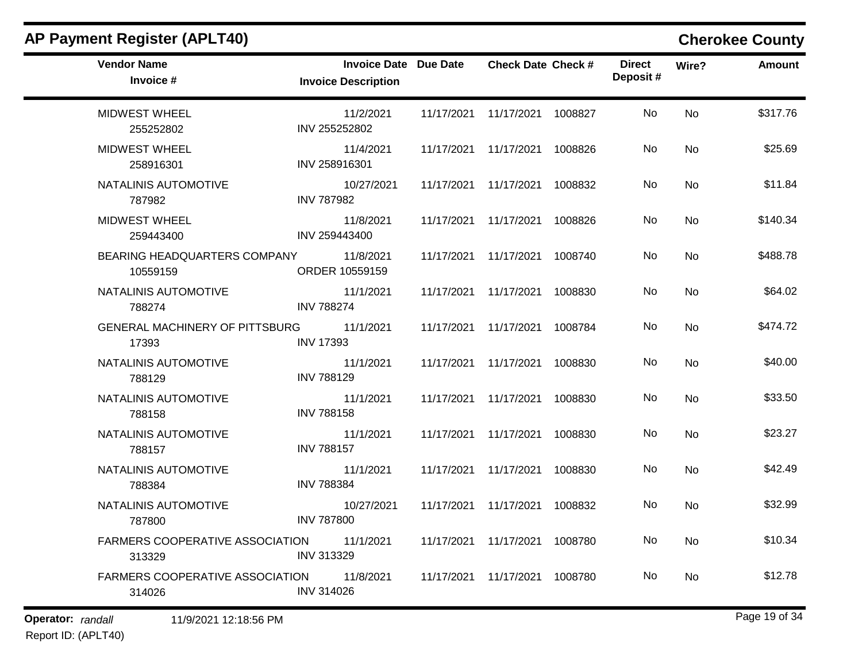| <b>AP Payment Register (APLT40)</b>              |                                                            |            |                                 |         |                           |           | <b>Cherokee County</b> |
|--------------------------------------------------|------------------------------------------------------------|------------|---------------------------------|---------|---------------------------|-----------|------------------------|
| <b>Vendor Name</b><br>Invoice #                  | <b>Invoice Date Due Date</b><br><b>Invoice Description</b> |            | <b>Check Date Check #</b>       |         | <b>Direct</b><br>Deposit# | Wire?     | <b>Amount</b>          |
| <b>MIDWEST WHEEL</b><br>255252802                | 11/2/2021<br>INV 255252802                                 | 11/17/2021 | 11/17/2021                      | 1008827 | No                        | <b>No</b> | \$317.76               |
| <b>MIDWEST WHEEL</b><br>258916301                | 11/4/2021<br>INV 258916301                                 | 11/17/2021 | 11/17/2021                      | 1008826 | No                        | No        | \$25.69                |
| NATALINIS AUTOMOTIVE<br>787982                   | 10/27/2021<br><b>INV 787982</b>                            | 11/17/2021 | 11/17/2021                      | 1008832 | No                        | No        | \$11.84                |
| <b>MIDWEST WHEEL</b><br>259443400                | 11/8/2021<br>INV 259443400                                 | 11/17/2021 | 11/17/2021                      | 1008826 | No                        | No        | \$140.34               |
| BEARING HEADQUARTERS COMPANY<br>10559159         | 11/8/2021<br>ORDER 10559159                                | 11/17/2021 | 11/17/2021                      | 1008740 | No                        | No        | \$488.78               |
| NATALINIS AUTOMOTIVE<br>788274                   | 11/1/2021<br><b>INV 788274</b>                             | 11/17/2021 | 11/17/2021                      | 1008830 | No                        | No        | \$64.02                |
| GENERAL MACHINERY OF PITTSBURG<br>17393          | 11/1/2021<br><b>INV 17393</b>                              | 11/17/2021 | 11/17/2021                      | 1008784 | No                        | No        | \$474.72               |
| NATALINIS AUTOMOTIVE<br>788129                   | 11/1/2021<br><b>INV 788129</b>                             | 11/17/2021 | 11/17/2021                      | 1008830 | No                        | No        | \$40.00                |
| NATALINIS AUTOMOTIVE<br>788158                   | 11/1/2021<br><b>INV 788158</b>                             | 11/17/2021 | 11/17/2021                      | 1008830 | No                        | No        | \$33.50                |
| NATALINIS AUTOMOTIVE<br>788157                   | 11/1/2021<br><b>INV 788157</b>                             | 11/17/2021 | 11/17/2021                      | 1008830 | No                        | No        | \$23.27                |
| NATALINIS AUTOMOTIVE<br>788384                   | 11/1/2021<br><b>INV 788384</b>                             | 11/17/2021 | 11/17/2021                      | 1008830 | No                        | No        | \$42.49                |
| NATALINIS AUTOMOTIVE<br>787800                   | 10/27/2021<br><b>INV 787800</b>                            | 11/17/2021 | 11/17/2021                      | 1008832 | No                        | No        | \$32.99                |
| <b>FARMERS COOPERATIVE ASSOCIATION</b><br>313329 | 11/1/2021<br>INV 313329                                    |            | 11/17/2021  11/17/2021  1008780 |         | No.                       | No        | \$10.34                |
| FARMERS COOPERATIVE ASSOCIATION<br>314026        | 11/8/2021<br><b>INV 314026</b>                             |            | 11/17/2021  11/17/2021  1008780 |         | No.                       | No        | \$12.78                |

**Operator:** randall 11/9/2021 12:18:56 PM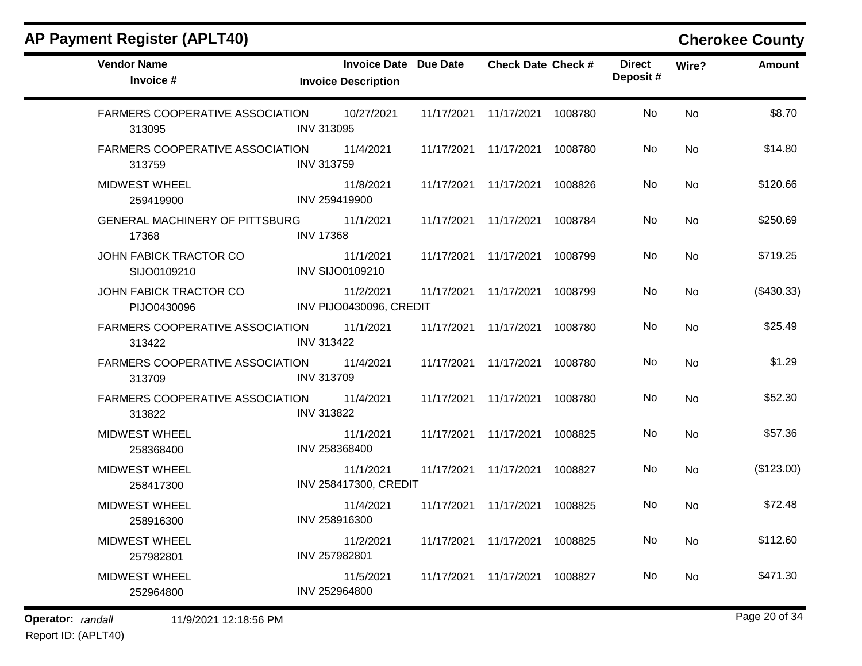| <b>Vendor Name</b><br>Invoice #                  | <b>Invoice Date Due Date</b><br><b>Invoice Description</b> |                       | <b>Check Date Check #</b> |         | <b>Direct</b><br>Deposit# | Wire?     | <b>Amount</b> |
|--------------------------------------------------|------------------------------------------------------------|-----------------------|---------------------------|---------|---------------------------|-----------|---------------|
| <b>FARMERS COOPERATIVE ASSOCIATION</b><br>313095 | 10/27/2021<br><b>INV 313095</b>                            | 11/17/2021            | 11/17/2021                | 1008780 | No                        | <b>No</b> | \$8.70        |
| <b>FARMERS COOPERATIVE ASSOCIATION</b><br>313759 | 11/4/2021<br><b>INV 313759</b>                             | 11/17/2021            | 11/17/2021                | 1008780 | No.                       | <b>No</b> | \$14.80       |
| <b>MIDWEST WHEEL</b><br>259419900                | 11/8/2021<br>INV 259419900                                 | 11/17/2021            | 11/17/2021                | 1008826 | No.                       | <b>No</b> | \$120.66      |
| <b>GENERAL MACHINERY OF PITTSBURG</b><br>17368   | 11/1/2021<br><b>INV 17368</b>                              | 11/17/2021            | 11/17/2021                | 1008784 | <b>No</b>                 | <b>No</b> | \$250.69      |
| JOHN FABICK TRACTOR CO<br>SIJO0109210            | 11/1/2021<br><b>INV SIJO0109210</b>                        | 11/17/2021 11/17/2021 |                           | 1008799 | No.                       | <b>No</b> | \$719.25      |
| JOHN FABICK TRACTOR CO<br>PIJO0430096            | 11/2/2021<br>INV PIJO0430096, CREDIT                       | 11/17/2021            | 11/17/2021                | 1008799 | No                        | No        | (\$430.33)    |
| <b>FARMERS COOPERATIVE ASSOCIATION</b><br>313422 | 11/1/2021<br><b>INV 313422</b>                             | 11/17/2021 11/17/2021 |                           | 1008780 | No.                       | No        | \$25.49       |
| FARMERS COOPERATIVE ASSOCIATION<br>313709        | 11/4/2021<br><b>INV 313709</b>                             | 11/17/2021            | 11/17/2021                | 1008780 | No                        | No        | \$1.29        |
| <b>FARMERS COOPERATIVE ASSOCIATION</b><br>313822 | 11/4/2021<br><b>INV 313822</b>                             | 11/17/2021            | 11/17/2021                | 1008780 | No                        | <b>No</b> | \$52.30       |
| <b>MIDWEST WHEEL</b><br>258368400                | 11/1/2021<br>INV 258368400                                 | 11/17/2021            | 11/17/2021                | 1008825 | No                        | <b>No</b> | \$57.36       |
| <b>MIDWEST WHEEL</b><br>258417300                | 11/1/2021<br>INV 258417300, CREDIT                         | 11/17/2021            | 11/17/2021                | 1008827 | No.                       | <b>No</b> | (\$123.00)    |
| <b>MIDWEST WHEEL</b><br>258916300                | 11/4/2021<br>INV 258916300                                 | 11/17/2021            | 11/17/2021                | 1008825 | No                        | No        | \$72.48       |
| <b>MIDWEST WHEEL</b><br>257982801                | 11/2/2021<br>INV 257982801                                 | 11/17/2021 11/17/2021 |                           | 1008825 | No.                       | <b>No</b> | \$112.60      |
| <b>MIDWEST WHEEL</b><br>252964800                | 11/5/2021<br>INV 252964800                                 | 11/17/2021            | 11/17/2021                | 1008827 | No.                       | <b>No</b> | \$471.30      |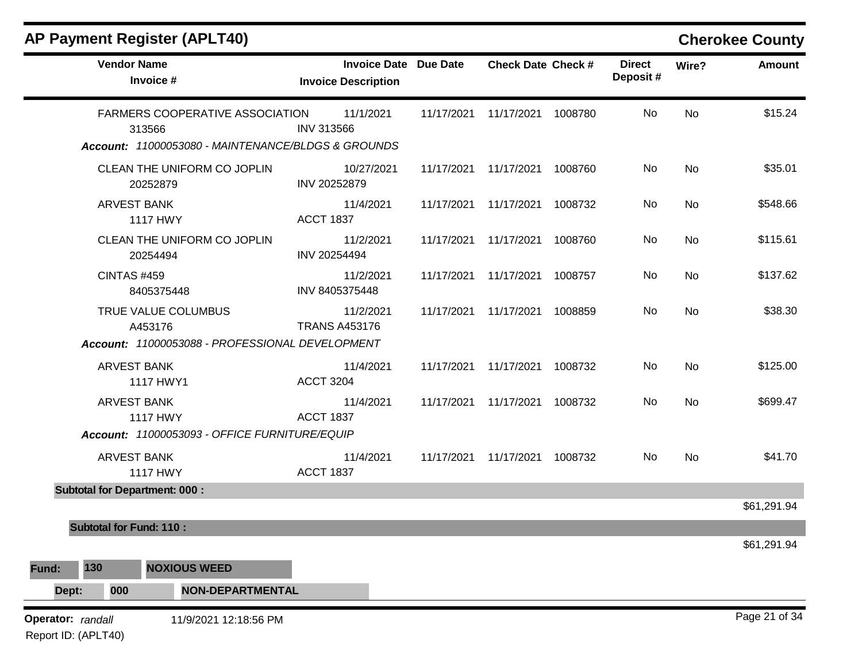| <b>Vendor Name</b><br>Invoice #                    | Invoice Date Due Date<br><b>Invoice Description</b> | <b>Check Date Check #</b>       | <b>Direct</b><br>Deposit# | Wire?     | <b>Amount</b> |
|----------------------------------------------------|-----------------------------------------------------|---------------------------------|---------------------------|-----------|---------------|
| <b>FARMERS COOPERATIVE ASSOCIATION</b><br>313566   | 11/1/2021<br><b>INV 313566</b>                      | 11/17/2021  11/17/2021  1008780 | No                        | <b>No</b> | \$15.24       |
| Account: 11000053080 - MAINTENANCE/BLDGS & GROUNDS |                                                     |                                 |                           |           |               |
| CLEAN THE UNIFORM CO JOPLIN<br>20252879            | 10/27/2021<br>INV 20252879                          | 11/17/2021  11/17/2021  1008760 | No                        | No        | \$35.01       |
| <b>ARVEST BANK</b><br><b>1117 HWY</b>              | 11/4/2021<br><b>ACCT 1837</b>                       | 11/17/2021  11/17/2021  1008732 | No.                       | <b>No</b> | \$548.66      |
| CLEAN THE UNIFORM CO JOPLIN<br>20254494            | 11/2/2021<br>INV 20254494                           | 11/17/2021  11/17/2021  1008760 | No                        | <b>No</b> | \$115.61      |
| <b>CINTAS #459</b><br>8405375448                   | 11/2/2021<br>INV 8405375448                         | 11/17/2021  11/17/2021  1008757 | No                        | <b>No</b> | \$137.62      |
| TRUE VALUE COLUMBUS<br>A453176                     | 11/2/2021<br><b>TRANS A453176</b>                   | 11/17/2021  11/17/2021  1008859 | No                        | <b>No</b> | \$38.30       |
| Account: 11000053088 - PROFESSIONAL DEVELOPMENT    |                                                     |                                 |                           |           |               |
| <b>ARVEST BANK</b><br>1117 HWY1                    | 11/4/2021<br><b>ACCT 3204</b>                       | 11/17/2021  11/17/2021  1008732 | No                        | <b>No</b> | \$125.00      |
| <b>ARVEST BANK</b><br><b>1117 HWY</b>              | 11/4/2021<br><b>ACCT 1837</b>                       | 11/17/2021  11/17/2021  1008732 | No                        | No        | \$699.47      |
| Account: 11000053093 - OFFICE FURNITURE/EQUIP      |                                                     |                                 |                           |           |               |
| <b>ARVEST BANK</b><br><b>1117 HWY</b>              | 11/4/2021<br><b>ACCT 1837</b>                       | 11/17/2021  11/17/2021  1008732 | No.                       | No        | \$41.70       |
| <b>Subtotal for Department: 000:</b>               |                                                     |                                 |                           |           |               |
|                                                    |                                                     |                                 |                           |           | \$61,291.94   |
| <b>Subtotal for Fund: 110:</b>                     |                                                     |                                 |                           |           | \$61,291.94   |
| 130<br><b>NOXIOUS WEED</b><br>Fund:                |                                                     |                                 |                           |           |               |
| 000<br>Dept:<br><b>NON-DEPARTMENTAL</b>            |                                                     |                                 |                           |           |               |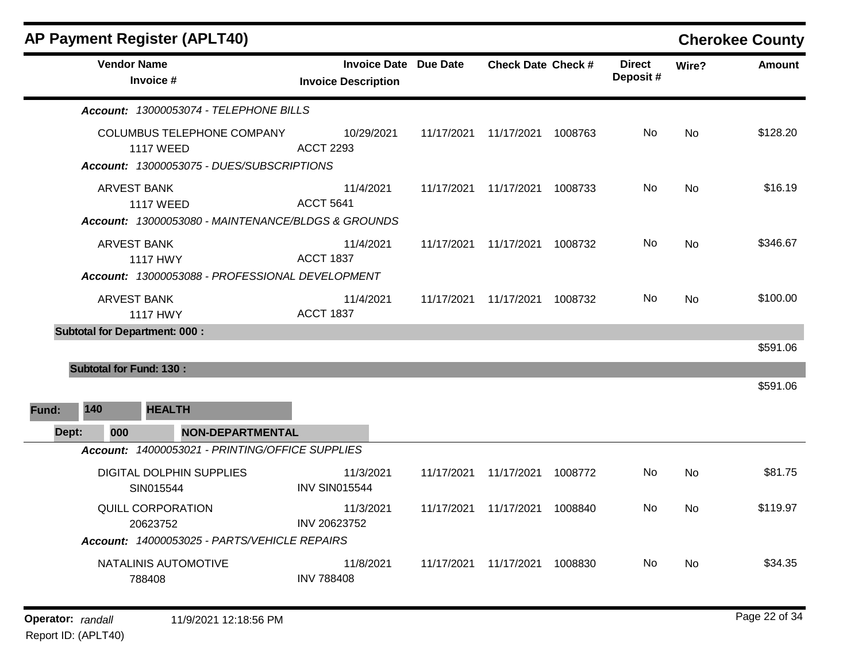| <b>AP Payment Register (APLT40)</b>                   |                                                    |                                                            |            |                           |         |                           |           | <b>Cherokee County</b> |
|-------------------------------------------------------|----------------------------------------------------|------------------------------------------------------------|------------|---------------------------|---------|---------------------------|-----------|------------------------|
| <b>Vendor Name</b><br>Invoice #                       |                                                    | <b>Invoice Date Due Date</b><br><b>Invoice Description</b> |            | <b>Check Date Check #</b> |         | <b>Direct</b><br>Deposit# | Wire?     | <b>Amount</b>          |
|                                                       | Account: 13000053074 - TELEPHONE BILLS             |                                                            |            |                           |         |                           |           |                        |
| <b>COLUMBUS TELEPHONE COMPANY</b><br><b>1117 WEED</b> | Account: 13000053075 - DUES/SUBSCRIPTIONS          | 10/29/2021<br><b>ACCT 2293</b>                             | 11/17/2021 | 11/17/2021                | 1008763 | No.                       | No        | \$128.20               |
| <b>ARVEST BANK</b><br><b>1117 WEED</b>                | Account: 13000053080 - MAINTENANCE/BLDGS & GROUNDS | 11/4/2021<br><b>ACCT 5641</b>                              | 11/17/2021 | 11/17/2021                | 1008733 | No.                       | <b>No</b> | \$16.19                |
| ARVEST BANK<br><b>1117 HWY</b>                        | Account: 13000053088 - PROFESSIONAL DEVELOPMENT    | 11/4/2021<br><b>ACCT 1837</b>                              | 11/17/2021 | 11/17/2021                | 1008732 | No.                       | No        | \$346.67               |
| <b>ARVEST BANK</b><br><b>1117 HWY</b>                 |                                                    | 11/4/2021<br><b>ACCT 1837</b>                              |            | 11/17/2021 11/17/2021     | 1008732 | No.                       | <b>No</b> | \$100.00               |
| <b>Subtotal for Department: 000:</b>                  |                                                    |                                                            |            |                           |         |                           |           | \$591.06               |
| <b>Subtotal for Fund: 130:</b>                        |                                                    |                                                            |            |                           |         |                           |           |                        |
| 140<br><b>HEALTH</b><br>Fund:                         |                                                    |                                                            |            |                           |         |                           |           | \$591.06               |
| Dept:<br>000                                          | <b>NON-DEPARTMENTAL</b>                            |                                                            |            |                           |         |                           |           |                        |
|                                                       | Account: 14000053021 - PRINTING/OFFICE SUPPLIES    |                                                            |            |                           |         |                           |           |                        |
| DIGITAL DOLPHIN SUPPLIES<br>SIN015544                 |                                                    | 11/3/2021<br><b>INV SIN015544</b>                          | 11/17/2021 | 11/17/2021                | 1008772 | No                        | <b>No</b> | \$81.75                |
| QUILL CORPORATION<br>20623752                         | Account: 14000053025 - PARTS/VEHICLE REPAIRS       | 11/3/2021<br>INV 20623752                                  | 11/17/2021 | 11/17/2021                | 1008840 | No                        | No        | \$119.97               |
| NATALINIS AUTOMOTIVE<br>788408                        |                                                    | 11/8/2021<br><b>INV 788408</b>                             | 11/17/2021 | 11/17/2021                | 1008830 | No.                       | No        | \$34.35                |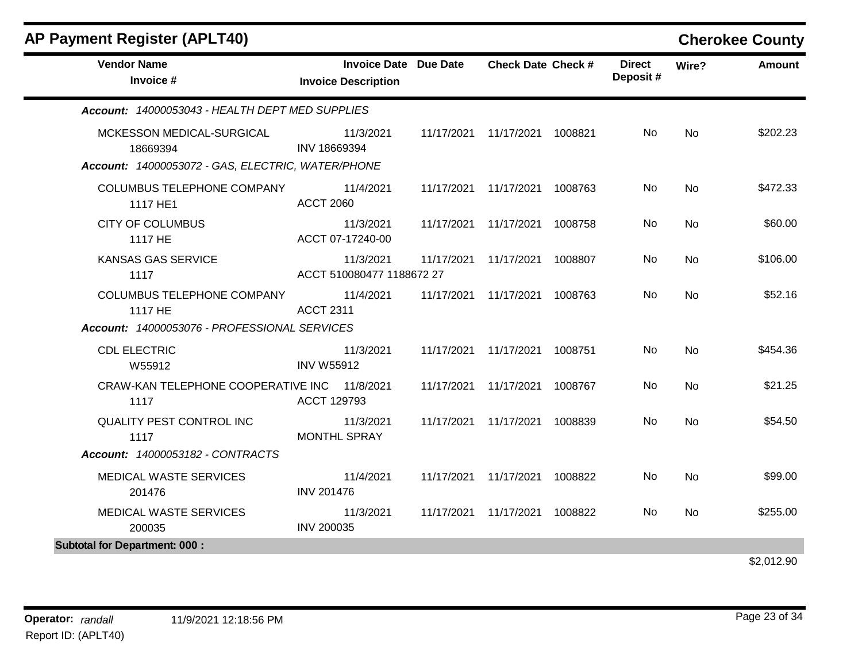| <b>AP Payment Register (APLT40)</b>                                                        |                                                            |            |                           |         |                           |           | <b>Cherokee County</b> |
|--------------------------------------------------------------------------------------------|------------------------------------------------------------|------------|---------------------------|---------|---------------------------|-----------|------------------------|
| <b>Vendor Name</b><br>Invoice #                                                            | <b>Invoice Date Due Date</b><br><b>Invoice Description</b> |            | <b>Check Date Check #</b> |         | <b>Direct</b><br>Deposit# | Wire?     | Amount                 |
| Account: 14000053043 - HEALTH DEPT MED SUPPLIES                                            |                                                            |            |                           |         |                           |           |                        |
| MCKESSON MEDICAL-SURGICAL<br>18669394<br>Account: 14000053072 - GAS, ELECTRIC, WATER/PHONE | 11/3/2021<br>INV 18669394                                  |            | 11/17/2021 11/17/2021     | 1008821 | No                        | <b>No</b> | \$202.23               |
| COLUMBUS TELEPHONE COMPANY<br>1117 HE1                                                     | 11/4/2021<br><b>ACCT 2060</b>                              |            | 11/17/2021 11/17/2021     | 1008763 | No                        | <b>No</b> | \$472.33               |
| <b>CITY OF COLUMBUS</b><br>1117 HE                                                         | 11/3/2021<br>ACCT 07-17240-00                              |            | 11/17/2021 11/17/2021     | 1008758 | No.                       | <b>No</b> | \$60.00                |
| <b>KANSAS GAS SERVICE</b><br>1117                                                          | 11/3/2021<br>ACCT 510080477 1188672 27                     | 11/17/2021 | 11/17/2021                | 1008807 | No                        | No        | \$106.00               |
| COLUMBUS TELEPHONE COMPANY<br>1117 HE                                                      | 11/4/2021<br><b>ACCT 2311</b>                              | 11/17/2021 | 11/17/2021                | 1008763 | No.                       | <b>No</b> | \$52.16                |
| Account: 14000053076 - PROFESSIONAL SERVICES                                               |                                                            |            |                           |         |                           |           |                        |
| <b>CDL ELECTRIC</b><br>W55912                                                              | 11/3/2021<br><b>INV W55912</b>                             |            | 11/17/2021 11/17/2021     | 1008751 | No                        | No        | \$454.36               |
| CRAW-KAN TELEPHONE COOPERATIVE INC 11/8/2021<br>1117                                       | ACCT 129793                                                |            | 11/17/2021 11/17/2021     | 1008767 | No                        | <b>No</b> | \$21.25                |
| <b>QUALITY PEST CONTROL INC</b><br>1117                                                    | 11/3/2021<br><b>MONTHL SPRAY</b>                           |            | 11/17/2021 11/17/2021     | 1008839 | No.                       | <b>No</b> | \$54.50                |
| <b>Account: 14000053182 - CONTRACTS</b>                                                    |                                                            |            |                           |         |                           |           |                        |
| MEDICAL WASTE SERVICES<br>201476                                                           | 11/4/2021<br><b>INV 201476</b>                             |            | 11/17/2021 11/17/2021     | 1008822 | No                        | <b>No</b> | \$99.00                |
| MEDICAL WASTE SERVICES<br>200035                                                           | 11/3/2021<br><b>INV 200035</b>                             |            | 11/17/2021 11/17/2021     | 1008822 | No                        | <b>No</b> | \$255.00               |
| <b>Subtotal for Department: 000:</b>                                                       |                                                            |            |                           |         |                           |           |                        |
|                                                                                            |                                                            |            |                           |         |                           |           |                        |

### \$2,012.90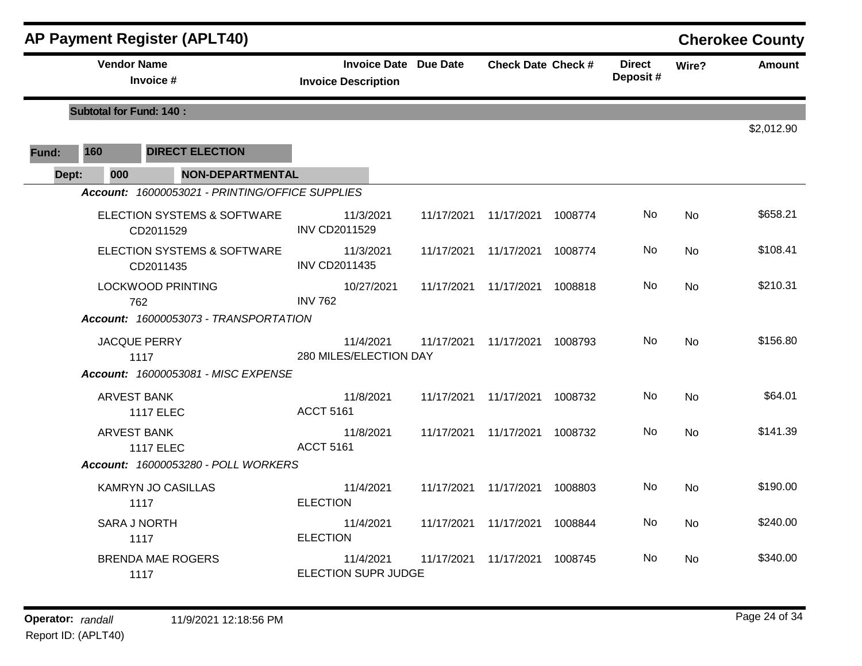|       |                                | <b>AP Payment Register (APLT40)</b>             |                                                            |            |                           |         |                            |           | <b>Cherokee County</b> |
|-------|--------------------------------|-------------------------------------------------|------------------------------------------------------------|------------|---------------------------|---------|----------------------------|-----------|------------------------|
|       | <b>Vendor Name</b>             | Invoice #                                       | <b>Invoice Date Due Date</b><br><b>Invoice Description</b> |            | <b>Check Date Check #</b> |         | <b>Direct</b><br>Deposit # | Wire?     | <b>Amount</b>          |
|       | <b>Subtotal for Fund: 140:</b> |                                                 |                                                            |            |                           |         |                            |           | \$2,012.90             |
| Fund: | 160                            | <b>DIRECT ELECTION</b>                          |                                                            |            |                           |         |                            |           |                        |
| Dept: | 000                            | <b>NON-DEPARTMENTAL</b>                         |                                                            |            |                           |         |                            |           |                        |
|       |                                | Account: 16000053021 - PRINTING/OFFICE SUPPLIES |                                                            |            |                           |         |                            |           |                        |
|       |                                | ELECTION SYSTEMS & SOFTWARE<br>CD2011529        | 11/3/2021<br><b>INV CD2011529</b>                          | 11/17/2021 | 11/17/2021 1008774        |         | No.                        | No        | \$658.21               |
|       |                                | ELECTION SYSTEMS & SOFTWARE<br>CD2011435        | 11/3/2021<br><b>INV CD2011435</b>                          | 11/17/2021 | 11/17/2021 1008774        |         | No.                        | No.       | \$108.41               |
|       |                                | <b>LOCKWOOD PRINTING</b><br>762                 | 10/27/2021<br><b>INV 762</b>                               | 11/17/2021 | 11/17/2021 1008818        |         | No.                        | <b>No</b> | \$210.31               |
|       |                                | Account: 16000053073 - TRANSPORTATION           |                                                            |            |                           |         |                            |           |                        |
|       |                                | <b>JACQUE PERRY</b><br>1117                     | 11/4/2021<br>280 MILES/ELECTION DAY                        | 11/17/2021 | 11/17/2021 1008793        |         | No                         | <b>No</b> | \$156.80               |
|       |                                | Account: 16000053081 - MISC EXPENSE             |                                                            |            |                           |         |                            |           |                        |
|       |                                | <b>ARVEST BANK</b><br><b>1117 ELEC</b>          | 11/8/2021<br><b>ACCT 5161</b>                              | 11/17/2021 | 11/17/2021 1008732        |         | No                         | <b>No</b> | \$64.01                |
|       |                                | <b>ARVEST BANK</b><br><b>1117 ELEC</b>          | 11/8/2021<br><b>ACCT 5161</b>                              | 11/17/2021 | 11/17/2021 1008732        |         | No.                        | <b>No</b> | \$141.39               |
|       |                                | Account: 16000053280 - POLL WORKERS             |                                                            |            |                           |         |                            |           |                        |
|       |                                | <b>KAMRYN JO CASILLAS</b><br>1117               | 11/4/2021<br><b>ELECTION</b>                               | 11/17/2021 | 11/17/2021 1008803        |         | No.                        | No        | \$190.00               |
|       |                                | <b>SARA J NORTH</b><br>1117                     | 11/4/2021<br><b>ELECTION</b>                               | 11/17/2021 | 11/17/2021 1008844        |         | No.                        | No        | \$240.00               |
|       |                                | <b>BRENDA MAE ROGERS</b><br>1117                | 11/4/2021<br>ELECTION SUPR JUDGE                           | 11/17/2021 | 11/17/2021                | 1008745 | No.                        | <b>No</b> | \$340.00               |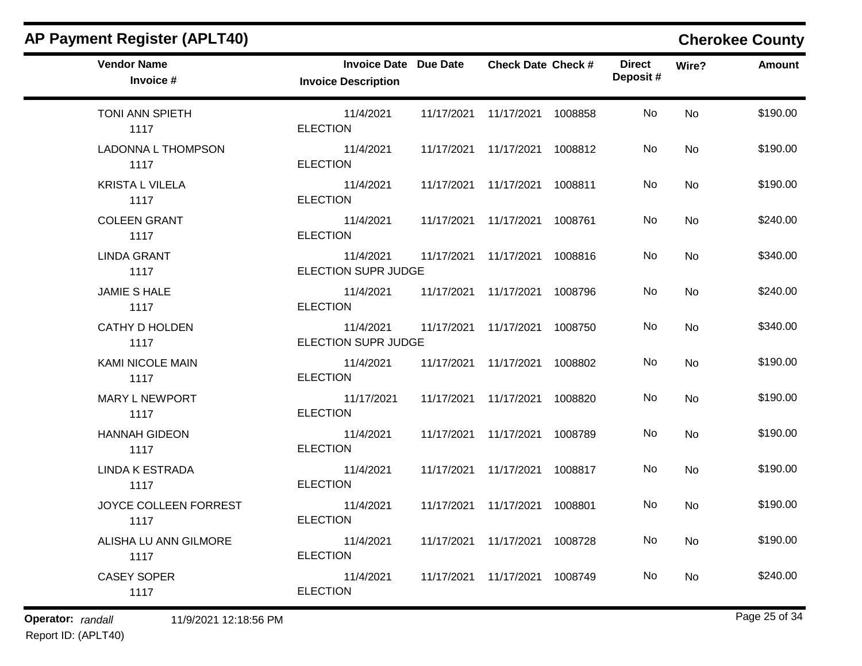| <b>Vendor Name</b><br>Invoice # | <b>Invoice Date Due Date</b><br><b>Invoice Description</b> | <b>Check Date Check #</b>       | <b>Direct</b><br>Deposit# | Wire?     | Amount   |
|---------------------------------|------------------------------------------------------------|---------------------------------|---------------------------|-----------|----------|
| TONI ANN SPIETH<br>1117         | 11/4/2021<br><b>ELECTION</b>                               | 11/17/2021  11/17/2021  1008858 | No                        | <b>No</b> | \$190.00 |
| LADONNA L THOMPSON<br>1117      | 11/4/2021<br><b>ELECTION</b>                               | 11/17/2021  11/17/2021  1008812 | No                        | <b>No</b> | \$190.00 |
| <b>KRISTA L VILELA</b><br>1117  | 11/4/2021<br><b>ELECTION</b>                               | 11/17/2021  11/17/2021  1008811 | No                        | <b>No</b> | \$190.00 |
| <b>COLEEN GRANT</b><br>1117     | 11/4/2021<br><b>ELECTION</b>                               | 11/17/2021  11/17/2021  1008761 | No.                       | <b>No</b> | \$240.00 |
| <b>LINDA GRANT</b><br>1117      | 11/4/2021<br>ELECTION SUPR JUDGE                           | 11/17/2021  11/17/2021  1008816 | No                        | No        | \$340.00 |
| <b>JAMIE S HALE</b><br>1117     | 11/4/2021<br><b>ELECTION</b>                               | 11/17/2021  11/17/2021  1008796 | No                        | <b>No</b> | \$240.00 |
| <b>CATHY D HOLDEN</b><br>1117   | 11/4/2021<br>ELECTION SUPR JUDGE                           | 11/17/2021  11/17/2021  1008750 | No                        | <b>No</b> | \$340.00 |
| KAMI NICOLE MAIN<br>1117        | 11/4/2021<br><b>ELECTION</b>                               | 11/17/2021  11/17/2021  1008802 | No                        | <b>No</b> | \$190.00 |
| <b>MARY L NEWPORT</b><br>1117   | 11/17/2021<br><b>ELECTION</b>                              | 11/17/2021  11/17/2021  1008820 | No                        | <b>No</b> | \$190.00 |
| <b>HANNAH GIDEON</b><br>1117    | 11/4/2021<br><b>ELECTION</b>                               | 11/17/2021  11/17/2021  1008789 | No                        | <b>No</b> | \$190.00 |
| <b>LINDA K ESTRADA</b><br>1117  | 11/4/2021<br><b>ELECTION</b>                               | 11/17/2021  11/17/2021  1008817 | No                        | No        | \$190.00 |
| JOYCE COLLEEN FORREST<br>1117   | 11/4/2021<br><b>ELECTION</b>                               | 11/17/2021  11/17/2021  1008801 | No                        | <b>No</b> | \$190.00 |
| ALISHA LU ANN GILMORE<br>1117   | 11/4/2021<br><b>ELECTION</b>                               | 11/17/2021  11/17/2021  1008728 | No                        | No        | \$190.00 |
| <b>CASEY SOPER</b><br>1117      | 11/4/2021<br><b>ELECTION</b>                               | 11/17/2021  11/17/2021  1008749 | No                        | <b>No</b> | \$240.00 |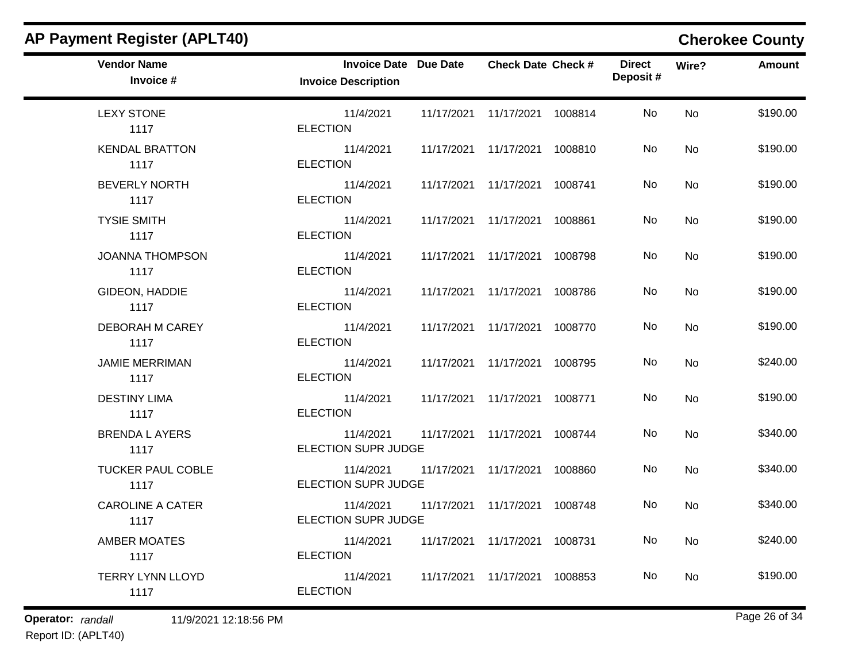| <b>Vendor Name</b><br>Invoice #  | <b>Invoice Date Due Date</b><br><b>Invoice Description</b> | <b>Check Date Check #</b>       | <b>Direct</b><br>Deposit# | Wire?     | Amount   |
|----------------------------------|------------------------------------------------------------|---------------------------------|---------------------------|-----------|----------|
| <b>LEXY STONE</b><br>1117        | 11/4/2021<br><b>ELECTION</b>                               | 11/17/2021  11/17/2021  1008814 | No                        | <b>No</b> | \$190.00 |
| <b>KENDAL BRATTON</b><br>1117    | 11/4/2021<br><b>ELECTION</b>                               | 11/17/2021  11/17/2021  1008810 | No                        | <b>No</b> | \$190.00 |
| <b>BEVERLY NORTH</b><br>1117     | 11/4/2021<br><b>ELECTION</b>                               | 11/17/2021  11/17/2021  1008741 | No                        | <b>No</b> | \$190.00 |
| <b>TYSIE SMITH</b><br>1117       | 11/4/2021<br><b>ELECTION</b>                               | 11/17/2021 11/17/2021 1008861   | No.                       | <b>No</b> | \$190.00 |
| <b>JOANNA THOMPSON</b><br>1117   | 11/4/2021<br><b>ELECTION</b>                               | 11/17/2021  11/17/2021  1008798 | No                        | No        | \$190.00 |
| GIDEON, HADDIE<br>1117           | 11/4/2021<br><b>ELECTION</b>                               | 11/17/2021 11/17/2021 1008786   | No.                       | <b>No</b> | \$190.00 |
| DEBORAH M CAREY<br>1117          | 11/4/2021<br><b>ELECTION</b>                               | 11/17/2021  11/17/2021  1008770 | No                        | No        | \$190.00 |
| <b>JAMIE MERRIMAN</b><br>1117    | 11/4/2021<br><b>ELECTION</b>                               | 11/17/2021  11/17/2021  1008795 | No                        | <b>No</b> | \$240.00 |
| <b>DESTINY LIMA</b><br>1117      | 11/4/2021<br><b>ELECTION</b>                               | 11/17/2021  11/17/2021  1008771 | No                        | <b>No</b> | \$190.00 |
| <b>BRENDA L AYERS</b><br>1117    | 11/4/2021<br><b>ELECTION SUPR JUDGE</b>                    | 11/17/2021 11/17/2021 1008744   | No.                       | <b>No</b> | \$340.00 |
| <b>TUCKER PAUL COBLE</b><br>1117 | 11/4/2021<br>ELECTION SUPR JUDGE                           | 11/17/2021  11/17/2021  1008860 | No.                       | <b>No</b> | \$340.00 |
| <b>CAROLINE A CATER</b><br>1117  | 11/4/2021<br>ELECTION SUPR JUDGE                           | 11/17/2021  11/17/2021  1008748 | No.                       | No        | \$340.00 |
| <b>AMBER MOATES</b><br>1117      | 11/4/2021<br><b>ELECTION</b>                               | 11/17/2021  11/17/2021  1008731 | No                        | <b>No</b> | \$240.00 |
| <b>TERRY LYNN LLOYD</b><br>1117  | 11/4/2021<br><b>ELECTION</b>                               | 11/17/2021  11/17/2021  1008853 | No                        | <b>No</b> | \$190.00 |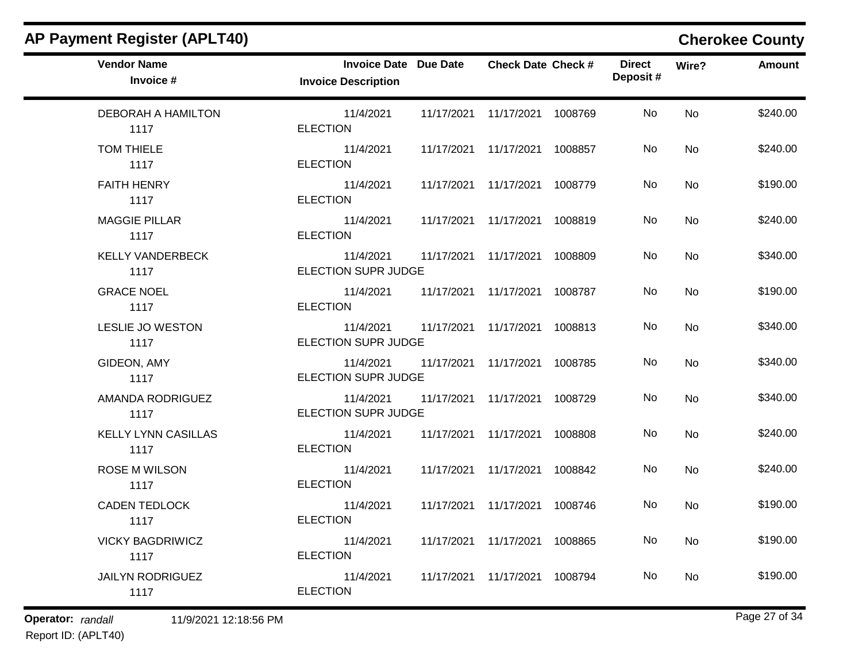| <b>Vendor Name</b><br>Invoice #    | <b>Invoice Date Due Date</b><br><b>Invoice Description</b> | <b>Check Date Check #</b>       |         | <b>Direct</b><br>Deposit # | Wire?     | <b>Amount</b> |
|------------------------------------|------------------------------------------------------------|---------------------------------|---------|----------------------------|-----------|---------------|
| <b>DEBORAH A HAMILTON</b><br>1117  | 11/4/2021<br><b>ELECTION</b>                               | 11/17/2021  11/17/2021  1008769 |         | No                         | <b>No</b> | \$240.00      |
| <b>TOM THIELE</b><br>1117          | 11/4/2021<br><b>ELECTION</b>                               | 11/17/2021  11/17/2021  1008857 |         | No                         | <b>No</b> | \$240.00      |
| <b>FAITH HENRY</b><br>1117         | 11/4/2021<br><b>ELECTION</b>                               | 11/17/2021  11/17/2021  1008779 |         | No                         | <b>No</b> | \$190.00      |
| <b>MAGGIE PILLAR</b><br>1117       | 11/4/2021<br><b>ELECTION</b>                               | 11/17/2021 11/17/2021 1008819   |         | No.                        | <b>No</b> | \$240.00      |
| <b>KELLY VANDERBECK</b><br>1117    | 11/4/2021<br><b>ELECTION SUPR JUDGE</b>                    | 11/17/2021  11/17/2021  1008809 |         | No                         | <b>No</b> | \$340.00      |
| <b>GRACE NOEL</b><br>1117          | 11/4/2021<br><b>ELECTION</b>                               | 11/17/2021  11/17/2021  1008787 |         | No                         | No        | \$190.00      |
| LESLIE JO WESTON<br>1117           | 11/4/2021<br><b>ELECTION SUPR JUDGE</b>                    | 11/17/2021 11/17/2021 1008813   |         | No                         | <b>No</b> | \$340.00      |
| GIDEON, AMY<br>1117                | 11/4/2021<br><b>ELECTION SUPR JUDGE</b>                    | 11/17/2021  11/17/2021  1008785 |         | No                         | <b>No</b> | \$340.00      |
| AMANDA RODRIGUEZ<br>1117           | 11/4/2021<br><b>ELECTION SUPR JUDGE</b>                    | 11/17/2021  11/17/2021  1008729 |         | No                         | <b>No</b> | \$340.00      |
| <b>KELLY LYNN CASILLAS</b><br>1117 | 11/4/2021<br><b>ELECTION</b>                               | 11/17/2021  11/17/2021  1008808 |         | No.                        | <b>No</b> | \$240.00      |
| <b>ROSE M WILSON</b><br>1117       | 11/4/2021<br><b>ELECTION</b>                               | 11/17/2021 11/17/2021 1008842   |         | No                         | <b>No</b> | \$240.00      |
| <b>CADEN TEDLOCK</b><br>1117       | 11/4/2021<br><b>ELECTION</b>                               | 11/17/2021  11/17/2021  1008746 |         | No.                        | No        | \$190.00      |
| <b>VICKY BAGDRIWICZ</b><br>1117    | 11/4/2021<br><b>ELECTION</b>                               | 11/17/2021  11/17/2021  1008865 |         | No                         | <b>No</b> | \$190.00      |
| <b>JAILYN RODRIGUEZ</b><br>1117    | 11/4/2021<br><b>ELECTION</b>                               | 11/17/2021 11/17/2021           | 1008794 | No                         | <b>No</b> | \$190.00      |
|                                    |                                                            |                                 |         |                            |           |               |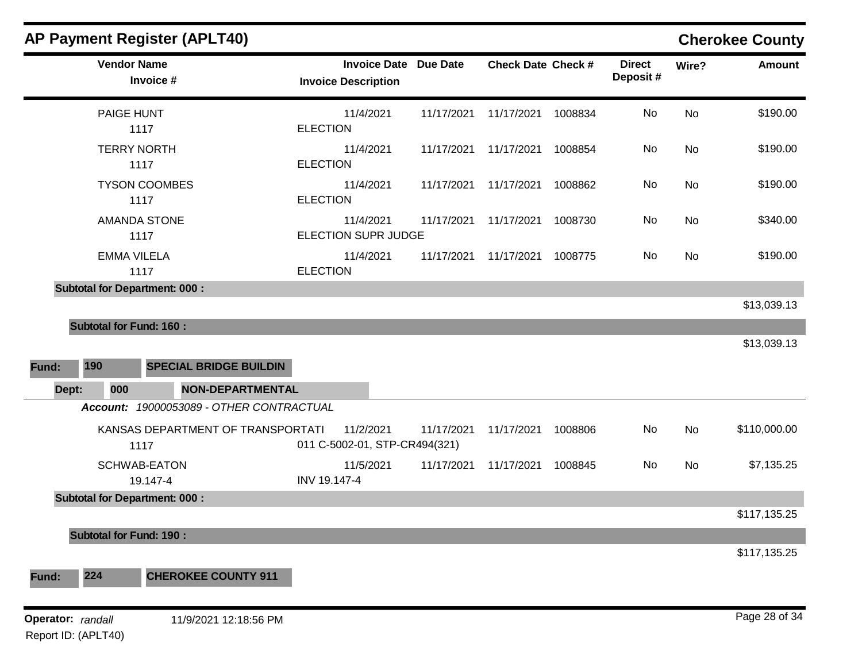|                                          | <b>AP Payment Register (APLT40)</b>                             |                 |                                                            |            |                           |         |                           |           | <b>Cherokee County</b> |
|------------------------------------------|-----------------------------------------------------------------|-----------------|------------------------------------------------------------|------------|---------------------------|---------|---------------------------|-----------|------------------------|
|                                          | <b>Vendor Name</b><br>Invoice #                                 |                 | <b>Invoice Date Due Date</b><br><b>Invoice Description</b> |            | <b>Check Date Check #</b> |         | <b>Direct</b><br>Deposit# | Wire?     | <b>Amount</b>          |
|                                          | PAIGE HUNT<br>1117                                              | <b>ELECTION</b> | 11/4/2021                                                  | 11/17/2021 | 11/17/2021                | 1008834 | No                        | <b>No</b> | \$190.00               |
|                                          | <b>TERRY NORTH</b><br>1117                                      | <b>ELECTION</b> | 11/4/2021                                                  | 11/17/2021 | 11/17/2021                | 1008854 | No                        | No        | \$190.00               |
|                                          | <b>TYSON COOMBES</b><br>1117                                    | <b>ELECTION</b> | 11/4/2021                                                  | 11/17/2021 | 11/17/2021                | 1008862 | No                        | No        | \$190.00               |
|                                          | <b>AMANDA STONE</b><br>1117                                     |                 | 11/4/2021<br><b>ELECTION SUPR JUDGE</b>                    | 11/17/2021 | 11/17/2021                | 1008730 | No                        | No        | \$340.00               |
|                                          | <b>EMMA VILELA</b><br>1117                                      | <b>ELECTION</b> | 11/4/2021                                                  | 11/17/2021 | 11/17/2021                | 1008775 | No                        | No        | \$190.00               |
|                                          | <b>Subtotal for Department: 000:</b>                            |                 |                                                            |            |                           |         |                           |           | \$13,039.13            |
|                                          | <b>Subtotal for Fund: 160:</b>                                  |                 |                                                            |            |                           |         |                           |           | \$13,039.13            |
| 190<br>Fund:<br>Dept:                    | <b>SPECIAL BRIDGE BUILDIN</b><br>000<br><b>NON-DEPARTMENTAL</b> |                 |                                                            |            |                           |         |                           |           |                        |
|                                          | Account: 19000053089 - OTHER CONTRACTUAL                        |                 |                                                            |            |                           |         |                           |           |                        |
|                                          | KANSAS DEPARTMENT OF TRANSPORTATI<br>1117                       |                 | 11/2/2021<br>011 C-5002-01, STP-CR494(321)                 | 11/17/2021 | 11/17/2021                | 1008806 | No                        | No        | \$110,000.00           |
|                                          | <b>SCHWAB-EATON</b><br>19.147-4                                 | INV 19.147-4    | 11/5/2021                                                  | 11/17/2021 | 11/17/2021                | 1008845 | No                        | No        | \$7,135.25             |
|                                          | <b>Subtotal for Department: 000:</b>                            |                 |                                                            |            |                           |         |                           |           |                        |
|                                          | <b>Subtotal for Fund: 190:</b>                                  |                 |                                                            |            |                           |         |                           |           | \$117,135.25           |
| 224<br>Fund:                             | <b>CHEROKEE COUNTY 911</b>                                      |                 |                                                            |            |                           |         |                           |           | \$117,135.25           |
| Operator: randall<br>Report ID: (APLT40) | 11/9/2021 12:18:56 PM                                           |                 |                                                            |            |                           |         |                           |           | Page 28 of 34          |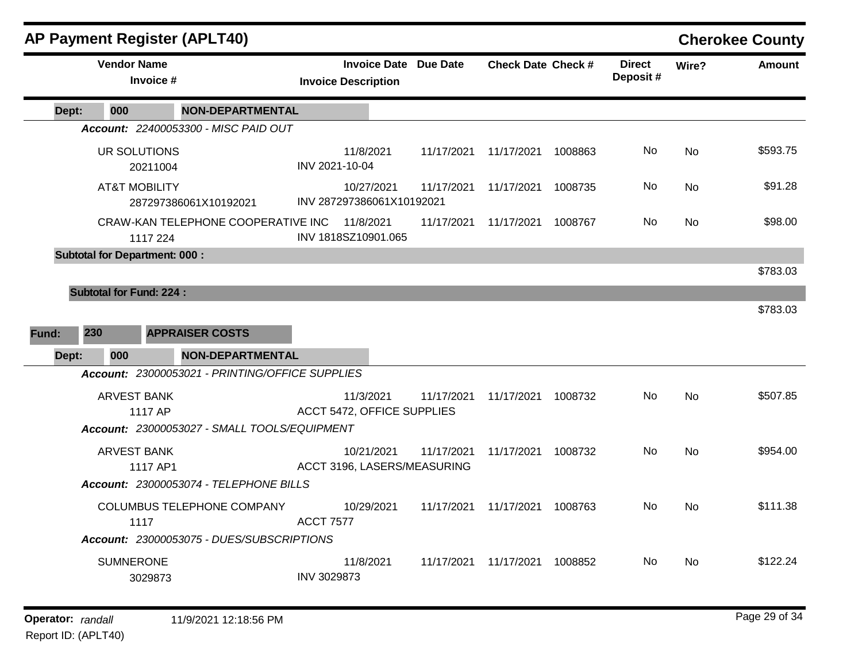|       | <b>AP Payment Register (APLT40)</b>  |                                                 |                                         |                                           |                           |         |                           |           | <b>Cherokee County</b> |
|-------|--------------------------------------|-------------------------------------------------|-----------------------------------------|-------------------------------------------|---------------------------|---------|---------------------------|-----------|------------------------|
|       | <b>Vendor Name</b><br>Invoice #      |                                                 | <b>Invoice Description</b>              | <b>Invoice Date Due Date</b>              | <b>Check Date Check #</b> |         | <b>Direct</b><br>Deposit# | Wire?     | <b>Amount</b>          |
| Dept: | 000                                  | <b>NON-DEPARTMENTAL</b>                         |                                         |                                           |                           |         |                           |           |                        |
|       |                                      | Account: 22400053300 - MISC PAID OUT            |                                         |                                           |                           |         |                           |           |                        |
|       | UR SOLUTIONS<br>20211004             |                                                 | 11/8/2021<br>INV 2021-10-04             | 11/17/2021                                | 11/17/2021                | 1008863 | No.                       | No        | \$593.75               |
|       | <b>AT&amp;T MOBILITY</b>             | 287297386061X10192021                           | 10/27/2021<br>INV 287297386061X10192021 | 11/17/2021                                | 11/17/2021                | 1008735 | No                        | <b>No</b> | \$91.28                |
|       | 1117 224                             | CRAW-KAN TELEPHONE COOPERATIVE INC              | 11/8/2021<br>INV 1818SZ10901.065        | 11/17/2021                                | 11/17/2021                | 1008767 | No.                       | No.       | \$98.00                |
|       | <b>Subtotal for Department: 000:</b> |                                                 |                                         |                                           |                           |         |                           |           |                        |
|       |                                      |                                                 |                                         |                                           |                           |         |                           |           | \$783.03               |
|       | <b>Subtotal for Fund: 224:</b>       |                                                 |                                         |                                           |                           |         |                           |           |                        |
|       |                                      |                                                 |                                         |                                           |                           |         |                           |           | \$783.03               |
| Fund: | 230                                  | <b>APPRAISER COSTS</b>                          |                                         |                                           |                           |         |                           |           |                        |
| Dept: | 000                                  | <b>NON-DEPARTMENTAL</b>                         |                                         |                                           |                           |         |                           |           |                        |
|       |                                      | Account: 23000053021 - PRINTING/OFFICE SUPPLIES |                                         |                                           |                           |         |                           |           |                        |
|       | ARVEST BANK                          |                                                 | 11/3/2021                               | 11/17/2021                                | 11/17/2021                | 1008732 | No.                       | <b>No</b> | \$507.85               |
|       | 1117 AP                              | Account: 23000053027 - SMALL TOOLS/EQUIPMENT    | ACCT 5472, OFFICE SUPPLIES              |                                           |                           |         |                           |           |                        |
|       |                                      |                                                 |                                         |                                           |                           |         |                           |           |                        |
|       | <b>ARVEST BANK</b><br>1117 AP1       |                                                 | 10/21/2021                              | 11/17/2021<br>ACCT 3196, LASERS/MEASURING | 11/17/2021                | 1008732 | No                        | <b>No</b> | \$954.00               |
|       |                                      | Account: 23000053074 - TELEPHONE BILLS          |                                         |                                           |                           |         |                           |           |                        |
|       | 1117                                 | COLUMBUS TELEPHONE COMPANY                      | 10/29/2021<br><b>ACCT 7577</b>          | 11/17/2021                                | 11/17/2021                | 1008763 | No.                       | <b>No</b> | \$111.38               |
|       |                                      | Account: 23000053075 - DUES/SUBSCRIPTIONS       |                                         |                                           |                           |         |                           |           |                        |
|       | <b>SUMNERONE</b><br>3029873          |                                                 | 11/8/2021<br>INV 3029873                | 11/17/2021                                | 11/17/2021                | 1008852 | No.                       | No        | \$122.24               |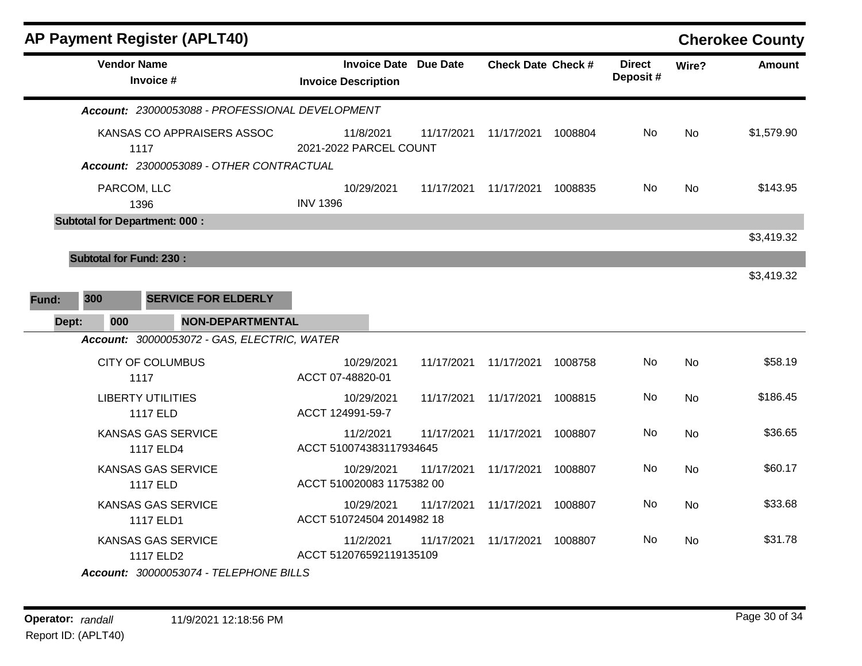| <b>AP Payment Register (APLT40)</b>                                            |                                                            |            |                           |         |                           |           | <b>Cherokee County</b> |
|--------------------------------------------------------------------------------|------------------------------------------------------------|------------|---------------------------|---------|---------------------------|-----------|------------------------|
| <b>Vendor Name</b><br>Invoice #                                                | <b>Invoice Date Due Date</b><br><b>Invoice Description</b> |            | <b>Check Date Check #</b> |         | <b>Direct</b><br>Deposit# | Wire?     | <b>Amount</b>          |
| Account: 23000053088 - PROFESSIONAL DEVELOPMENT                                |                                                            |            |                           |         |                           |           |                        |
| KANSAS CO APPRAISERS ASSOC<br>1117<br>Account: 23000053089 - OTHER CONTRACTUAL | 11/8/2021<br>2021-2022 PARCEL COUNT                        | 11/17/2021 | 11/17/2021                | 1008804 | No                        | <b>No</b> | \$1,579.90             |
| PARCOM, LLC<br>1396                                                            | 10/29/2021<br><b>INV 1396</b>                              | 11/17/2021 | 11/17/2021                | 1008835 | No                        | <b>No</b> | \$143.95               |
| <b>Subtotal for Department: 000:</b>                                           |                                                            |            |                           |         |                           |           | \$3,419.32             |
| <b>Subtotal for Fund: 230:</b><br>300<br><b>SERVICE FOR ELDERLY</b><br>Fund:   |                                                            |            |                           |         |                           |           | \$3,419.32             |
| Dept:<br>000<br><b>NON-DEPARTMENTAL</b>                                        |                                                            |            |                           |         |                           |           |                        |
| Account: 30000053072 - GAS, ELECTRIC, WATER<br><b>CITY OF COLUMBUS</b><br>1117 | 10/29/2021<br>ACCT 07-48820-01                             | 11/17/2021 | 11/17/2021                | 1008758 | No                        | <b>No</b> | \$58.19                |
| <b>LIBERTY UTILITIES</b><br>1117 ELD                                           | 10/29/2021<br>ACCT 124991-59-7                             | 11/17/2021 | 11/17/2021                | 1008815 | No                        | <b>No</b> | \$186.45               |
| KANSAS GAS SERVICE<br>1117 ELD4                                                | 11/2/2021<br>ACCT 510074383117934645                       | 11/17/2021 | 11/17/2021                | 1008807 | No                        | <b>No</b> | \$36.65                |
| KANSAS GAS SERVICE<br>1117 ELD                                                 | 10/29/2021<br>ACCT 510020083 1175382 00                    | 11/17/2021 | 11/17/2021                | 1008807 | No                        | <b>No</b> | \$60.17                |
| KANSAS GAS SERVICE<br>1117 ELD1                                                | 10/29/2021<br>ACCT 510724504 2014982 18                    | 11/17/2021 | 11/17/2021                | 1008807 | No                        | No        | \$33.68                |
| KANSAS GAS SERVICE<br>1117 ELD2<br>Account: 30000053074 - TELEPHONE BILLS      | 11/2/2021<br>ACCT 512076592119135109                       | 11/17/2021 | 11/17/2021                | 1008807 | No                        | No        | \$31.78                |
|                                                                                |                                                            |            |                           |         |                           |           |                        |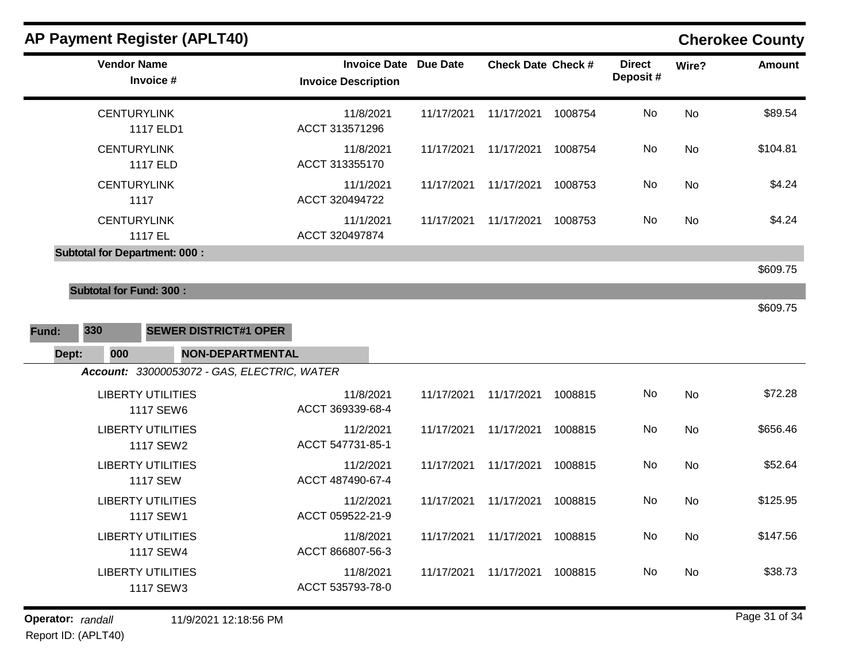| <b>AP Payment Register (APLT40)</b>                                                                                       |                                                            |            |                           |         |                           |           | <b>Cherokee County</b> |
|---------------------------------------------------------------------------------------------------------------------------|------------------------------------------------------------|------------|---------------------------|---------|---------------------------|-----------|------------------------|
| <b>Vendor Name</b><br>Invoice #                                                                                           | <b>Invoice Date Due Date</b><br><b>Invoice Description</b> |            | <b>Check Date Check #</b> |         | <b>Direct</b><br>Deposit# | Wire?     | <b>Amount</b>          |
| <b>CENTURYLINK</b><br>1117 ELD1                                                                                           | 11/8/2021<br>ACCT 313571296                                | 11/17/2021 | 11/17/2021                | 1008754 | No                        | <b>No</b> | \$89.54                |
| <b>CENTURYLINK</b><br>1117 ELD                                                                                            | 11/8/2021<br>ACCT 313355170                                | 11/17/2021 | 11/17/2021                | 1008754 | No                        | No        | \$104.81               |
| <b>CENTURYLINK</b><br>1117                                                                                                | 11/1/2021<br>ACCT 320494722                                | 11/17/2021 | 11/17/2021                | 1008753 | No.                       | No        | \$4.24                 |
| <b>CENTURYLINK</b><br>1117 EL                                                                                             | 11/1/2021<br>ACCT 320497874                                | 11/17/2021 | 11/17/2021                | 1008753 | No                        | No        | \$4.24                 |
| <b>Subtotal for Department: 000:</b>                                                                                      |                                                            |            |                           |         |                           |           | \$609.75               |
| <b>Subtotal for Fund: 300:</b><br>330<br><b>SEWER DISTRICT#1 OPER</b><br>Fund:<br><b>NON-DEPARTMENTAL</b><br>Dept:<br>000 |                                                            |            |                           |         |                           |           | \$609.75               |
| Account: 33000053072 - GAS, ELECTRIC, WATER                                                                               |                                                            |            |                           |         |                           |           |                        |
| <b>LIBERTY UTILITIES</b><br>1117 SEW6                                                                                     | 11/8/2021<br>ACCT 369339-68-4                              | 11/17/2021 | 11/17/2021                | 1008815 | No                        | No        | \$72.28                |
| <b>LIBERTY UTILITIES</b><br>1117 SEW2                                                                                     | 11/2/2021<br>ACCT 547731-85-1                              | 11/17/2021 | 11/17/2021                | 1008815 | No                        | No        | \$656.46               |
| <b>LIBERTY UTILITIES</b><br><b>1117 SEW</b>                                                                               | 11/2/2021<br>ACCT 487490-67-4                              | 11/17/2021 | 11/17/2021                | 1008815 | No                        | <b>No</b> | \$52.64                |
| <b>LIBERTY UTILITIES</b><br>1117 SEW1                                                                                     | 11/2/2021<br>ACCT 059522-21-9                              | 11/17/2021 | 11/17/2021                | 1008815 | No                        | <b>No</b> | \$125.95               |
| <b>LIBERTY UTILITIES</b><br>1117 SEW4                                                                                     | 11/8/2021<br>ACCT 866807-56-3                              | 11/17/2021 | 11/17/2021                | 1008815 | No                        | <b>No</b> | \$147.56               |
| <b>LIBERTY UTILITIES</b><br>1117 SEW3                                                                                     | 11/8/2021<br>ACCT 535793-78-0                              | 11/17/2021 | 11/17/2021                | 1008815 | No                        | <b>No</b> | \$38.73                |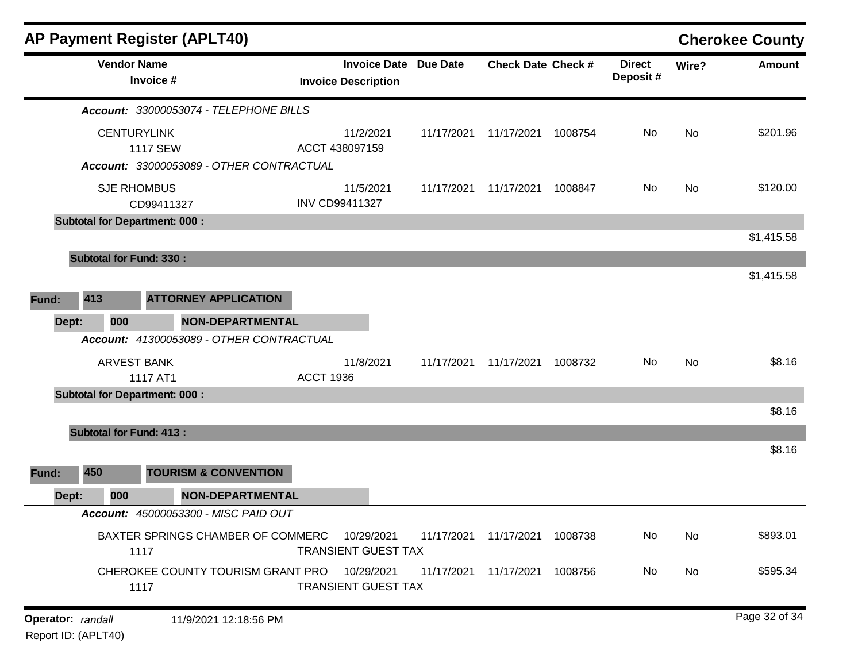|                   |                                | <b>AP Payment Register (APLT40)</b>       |                                                            |            |                           |         |                           |       | <b>Cherokee County</b> |
|-------------------|--------------------------------|-------------------------------------------|------------------------------------------------------------|------------|---------------------------|---------|---------------------------|-------|------------------------|
|                   | <b>Vendor Name</b>             | Invoice #                                 | <b>Invoice Date Due Date</b><br><b>Invoice Description</b> |            | <b>Check Date Check #</b> |         | <b>Direct</b><br>Deposit# | Wire? | Amount                 |
|                   |                                | Account: 33000053074 - TELEPHONE BILLS    |                                                            |            |                           |         |                           |       |                        |
|                   |                                | <b>CENTURYLINK</b><br><b>1117 SEW</b>     | 11/2/2021<br>ACCT 438097159                                | 11/17/2021 | 11/17/2021                | 1008754 | No                        | No    | \$201.96               |
|                   |                                | Account: 33000053089 - OTHER CONTRACTUAL  |                                                            |            |                           |         |                           |       |                        |
|                   |                                | <b>SJE RHOMBUS</b><br>CD99411327          | 11/5/2021<br><b>INV CD99411327</b>                         | 11/17/2021 | 11/17/2021                | 1008847 | No                        | No    | \$120.00               |
|                   |                                | <b>Subtotal for Department: 000:</b>      |                                                            |            |                           |         |                           |       |                        |
|                   |                                |                                           |                                                            |            |                           |         |                           |       | \$1,415.58             |
|                   | <b>Subtotal for Fund: 330:</b> |                                           |                                                            |            |                           |         |                           |       |                        |
|                   |                                |                                           |                                                            |            |                           |         |                           |       | \$1,415.58             |
| Fund:             | 413                            | <b>ATTORNEY APPLICATION</b>               |                                                            |            |                           |         |                           |       |                        |
| Dept:             | 000                            | <b>NON-DEPARTMENTAL</b>                   |                                                            |            |                           |         |                           |       |                        |
|                   |                                | Account: 41300053089 - OTHER CONTRACTUAL  |                                                            |            |                           |         |                           |       |                        |
|                   |                                | <b>ARVEST BANK</b><br>1117 AT1            | 11/8/2021<br><b>ACCT 1936</b>                              | 11/17/2021 | 11/17/2021                | 1008732 | No.                       | No    | \$8.16                 |
|                   |                                | <b>Subtotal for Department: 000:</b>      |                                                            |            |                           |         |                           |       |                        |
|                   |                                |                                           |                                                            |            |                           |         |                           |       | \$8.16                 |
|                   | <b>Subtotal for Fund: 413:</b> |                                           |                                                            |            |                           |         |                           |       |                        |
|                   |                                |                                           |                                                            |            |                           |         |                           |       | \$8.16                 |
| Fund:             | 450                            | <b>TOURISM &amp; CONVENTION</b>           |                                                            |            |                           |         |                           |       |                        |
| Dept:             | 000                            | <b>NON-DEPARTMENTAL</b>                   |                                                            |            |                           |         |                           |       |                        |
|                   |                                | Account: 45000053300 - MISC PAID OUT      |                                                            |            |                           |         |                           |       |                        |
|                   |                                | BAXTER SPRINGS CHAMBER OF COMMERC<br>1117 | 10/29/2021<br><b>TRANSIENT GUEST TAX</b>                   | 11/17/2021 | 11/17/2021                | 1008738 | No                        | No    | \$893.01               |
|                   |                                | CHEROKEE COUNTY TOURISM GRANT PRO<br>1117 | 10/29/2021<br><b>TRANSIENT GUEST TAX</b>                   | 11/17/2021 | 11/17/2021                | 1008756 | No                        | No    | \$595.34               |
| Operator: randall |                                | 11/9/2021 12:18:56 PM                     |                                                            |            |                           |         |                           |       | Page 32 of 34          |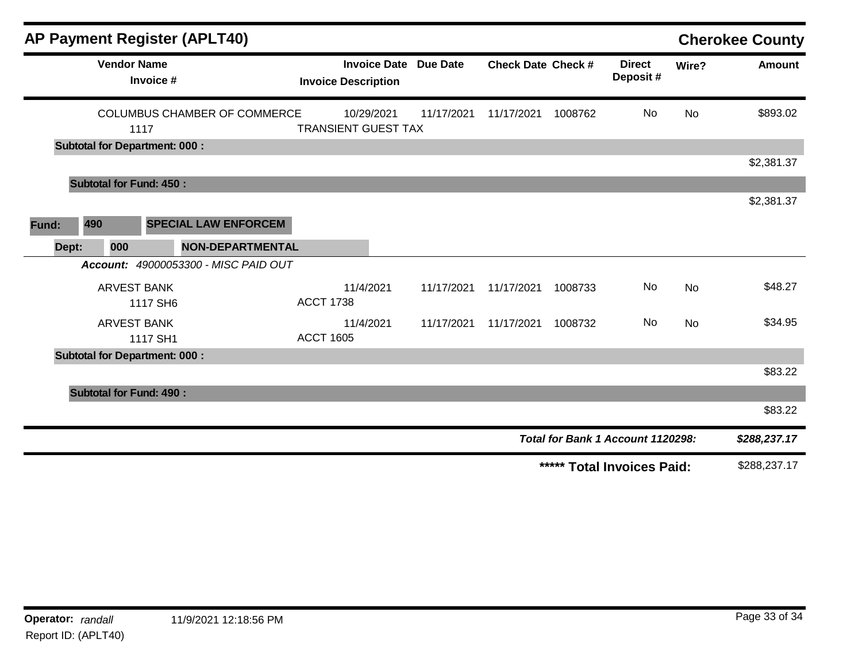|       |                                      |           | <b>AP Payment Register (APLT40)</b>  |                            |                                          |            |                           |         |                                   |           | <b>Cherokee County</b> |
|-------|--------------------------------------|-----------|--------------------------------------|----------------------------|------------------------------------------|------------|---------------------------|---------|-----------------------------------|-----------|------------------------|
|       | <b>Vendor Name</b>                   | Invoice # |                                      | <b>Invoice Description</b> | <b>Invoice Date Due Date</b>             |            | <b>Check Date Check #</b> |         | <b>Direct</b><br>Deposit#         | Wire?     | <b>Amount</b>          |
|       |                                      | 1117      | <b>COLUMBUS CHAMBER OF COMMERCE</b>  |                            | 10/29/2021<br><b>TRANSIENT GUEST TAX</b> | 11/17/2021 | 11/17/2021                | 1008762 | No                                | No        | \$893.02               |
|       | <b>Subtotal for Department: 000:</b> |           |                                      |                            |                                          |            |                           |         |                                   |           |                        |
|       |                                      |           |                                      |                            |                                          |            |                           |         |                                   |           | \$2,381.37             |
|       | <b>Subtotal for Fund: 450:</b>       |           |                                      |                            |                                          |            |                           |         |                                   |           |                        |
|       |                                      |           |                                      |                            |                                          |            |                           |         |                                   |           | \$2,381.37             |
| Fund: | 490                                  |           | <b>SPECIAL LAW ENFORCEM</b>          |                            |                                          |            |                           |         |                                   |           |                        |
| Dept: | 000                                  |           | <b>NON-DEPARTMENTAL</b>              |                            |                                          |            |                           |         |                                   |           |                        |
|       |                                      |           | Account: 49000053300 - MISC PAID OUT |                            |                                          |            |                           |         |                                   |           |                        |
|       | <b>ARVEST BANK</b>                   | 1117 SH6  |                                      | <b>ACCT 1738</b>           | 11/4/2021                                | 11/17/2021 | 11/17/2021                | 1008733 | No                                | <b>No</b> | \$48.27                |
|       | <b>ARVEST BANK</b>                   | 1117 SH1  |                                      | <b>ACCT 1605</b>           | 11/4/2021                                | 11/17/2021 | 11/17/2021                | 1008732 | No                                | No        | \$34.95                |
|       | <b>Subtotal for Department: 000:</b> |           |                                      |                            |                                          |            |                           |         |                                   |           |                        |
|       |                                      |           |                                      |                            |                                          |            |                           |         |                                   |           | \$83.22                |
|       | <b>Subtotal for Fund: 490:</b>       |           |                                      |                            |                                          |            |                           |         |                                   |           |                        |
|       |                                      |           |                                      |                            |                                          |            |                           |         |                                   |           | \$83.22                |
|       |                                      |           |                                      |                            |                                          |            |                           |         | Total for Bank 1 Account 1120298: |           | \$288,237.17           |
|       |                                      |           |                                      |                            |                                          |            |                           |         | ***** Total Invoices Paid:        |           | \$288,237.17           |